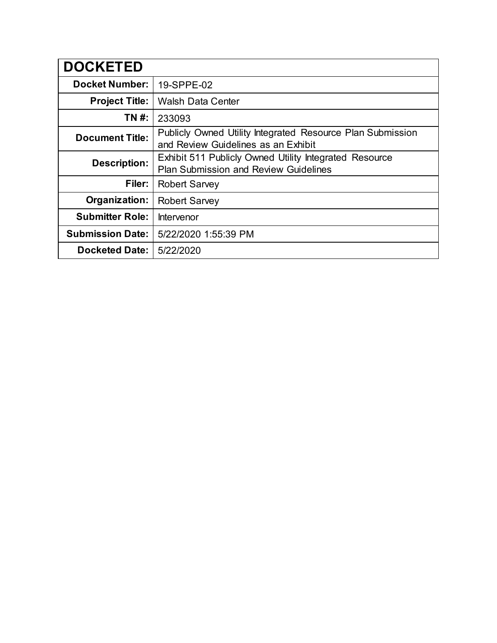| <b>DOCKETED</b>         |                                                                                                        |
|-------------------------|--------------------------------------------------------------------------------------------------------|
| <b>Docket Number:</b>   | 19-SPPE-02                                                                                             |
| <b>Project Title:</b>   | <b>Walsh Data Center</b>                                                                               |
| TN #:                   | 233093                                                                                                 |
| <b>Document Title:</b>  | Publicly Owned Utility Integrated Resource Plan Submission<br>and Review Guidelines as an Exhibit      |
| <b>Description:</b>     | Exhibit 511 Publicly Owned Utility Integrated Resource<br><b>Plan Submission and Review Guidelines</b> |
| Filer:                  | <b>Robert Sarvey</b>                                                                                   |
| Organization:           | <b>Robert Sarvey</b>                                                                                   |
| <b>Submitter Role:</b>  | Intervenor                                                                                             |
| <b>Submission Date:</b> | 5/22/2020 1:55:39 PM                                                                                   |
| <b>Docketed Date:</b>   | 5/22/2020                                                                                              |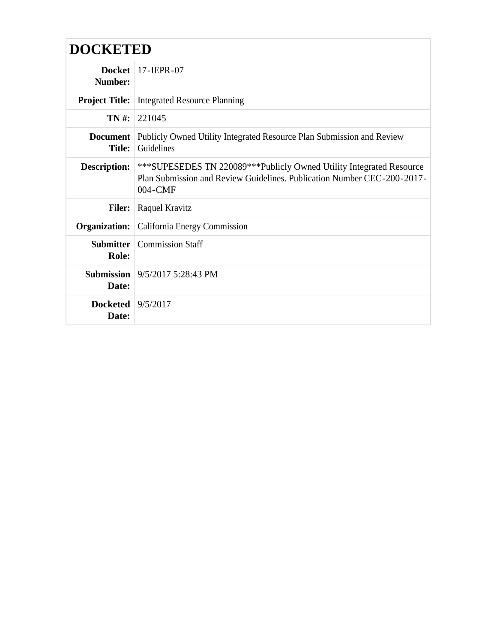# **DOCKETED**

| Number:                      | Docket   $17$ -IEPR-07                                                                                                                                       |
|------------------------------|--------------------------------------------------------------------------------------------------------------------------------------------------------------|
| <b>Project Title:</b>        | <b>Integrated Resource Planning</b>                                                                                                                          |
| $TN#$ :                      | 221045                                                                                                                                                       |
| Document<br><b>Title:</b>    | Publicly Owned Utility Integrated Resource Plan Submission and Review<br>Guidelines                                                                          |
| Description:                 | ***SUPESEDES TN 220089***Publicly Owned Utility Integrated Resource<br>Plan Submission and Review Guidelines. Publication Number CEC-200-2017-<br>$004$ -CMF |
| <b>Filer:</b>                | Raquel Kravitz                                                                                                                                               |
| Organization:                | California Energy Commission                                                                                                                                 |
| Role:                        | <b>Submitter</b> Commission Staff                                                                                                                            |
| Date:                        | <b>Submission</b> $9/5/2017$ 5:28:43 PM                                                                                                                      |
| Docketed $9/5/2017$<br>Date: |                                                                                                                                                              |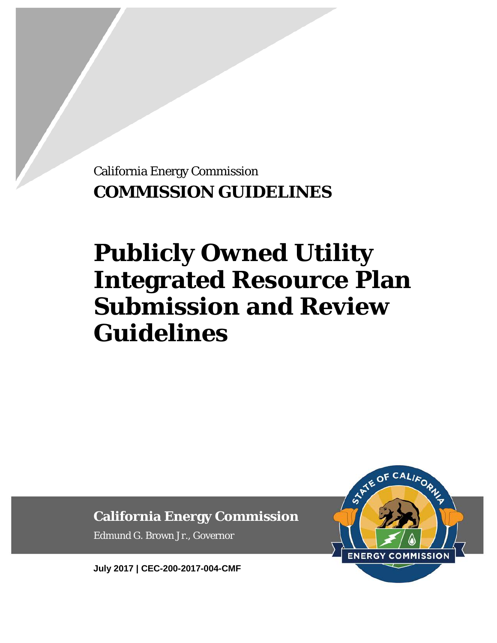California Energy Commission **COMMISSION GUIDELINES**

# **Publicly Owned Utility Integrated Resource Plan Submission and Review Guidelines**

**California Energy Commission**

Edmund G. Brown Jr., Governor

**July 2017 | CEC-200-2017-004-CMF**

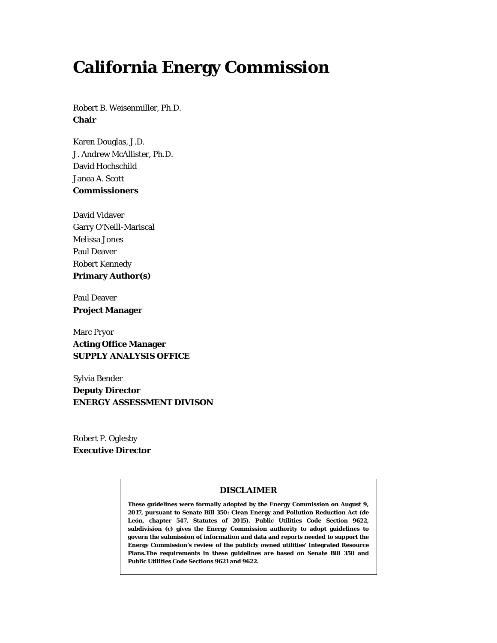# **California Energy Commission**

Robert B. Weisenmiller, Ph.D. **Chair**

Karen Douglas, J.D. J. Andrew McAllister, Ph.D. David Hochschild Janea A. Scott **Commissioners**

David Vidaver Garry O'Neill-Mariscal Melissa Jones Paul Deaver Robert Kennedy **Primary Author(s)**

Paul Deaver **Project Manager**

Marc Pryor **Acting Office Manager SUPPLY ANALYSIS OFFICE**

Sylvia Bender **Deputy Director ENERGY ASSESSMENT DIVISON** 

Robert P. Oglesby **Executive Director**

#### **DISCLAIMER**

**These guidelines were formally adopted by the Energy Commission on August 9, 2017, pursuant to Senate Bill 350: Clean Energy and Pollution Reduction Act (de León, chapter 547, Statutes of 2015). Public Utilities Code Section 9622, subdivision (c) gives the Energy Commission authority to adopt guidelines to govern the submission of information and data and reports needed to support the Energy Commission's review of the publicly owned utilities' Integrated Resource Plans.The requirements in these guidelines are based on Senate Bill 350 and Public Utilities Code Sections 9621 and 9622.**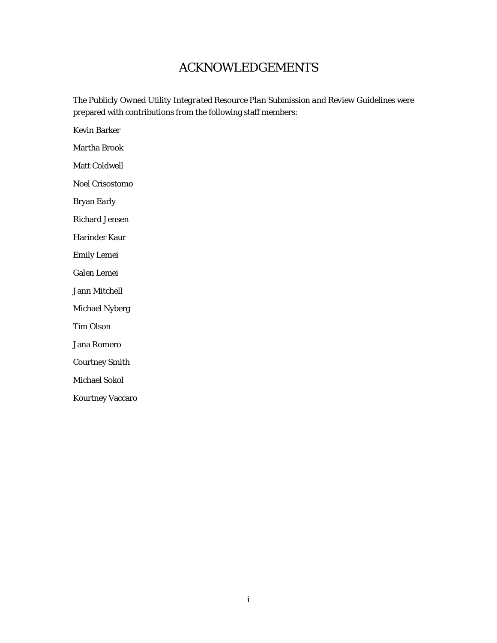# ACKNOWLEDGEMENTS

The *Publicly Owned Utility Integrated Resource Plan Submission and Review Guidelines* were prepared with contributions from the following staff members:

Kevin Barker

Martha Brook

Matt Coldwell

Noel Crisostomo

Bryan Early

Richard Jensen

Harinder Kaur

Emily Lemei

Galen Lemei

Jann Mitchell

Michael Nyberg

Tim Olson

Jana Romero

Courtney Smith

Michael Sokol

Kourtney Vaccaro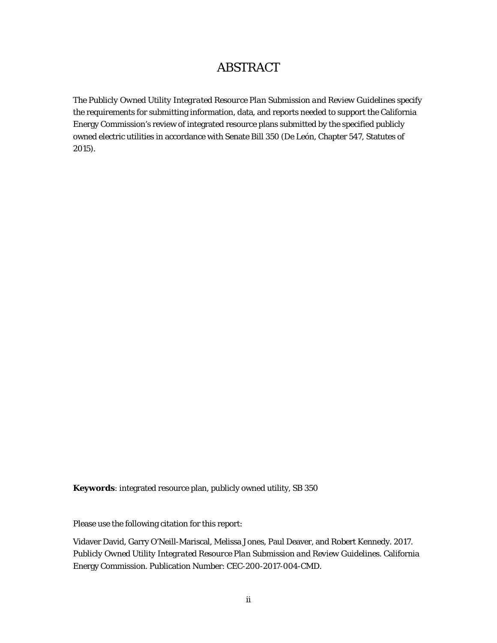# ABSTRACT

The *Publicly Owned Utility Integrated Resource Plan Submission and Review Guideline*s specify the requirements for submitting information, data, and reports needed to support the California Energy Commission's review of integrated resource plans submitted by the specified publicly owned electric utilities in accordance with Senate Bill 350 (De León, Chapter 547, Statutes of 2015).

**Keywords**: integrated resource plan, publicly owned utility, SB 350

Please use the following citation for this report:

Vidaver David, Garry O'Neill-Mariscal, Melissa Jones, Paul Deaver, and Robert Kennedy. 2017. *Publicly Owned Utility Integrated Resource Plan Submission and Review Guidelines.* California Energy Commission. Publication Number: CEC-200-2017-004-CMD.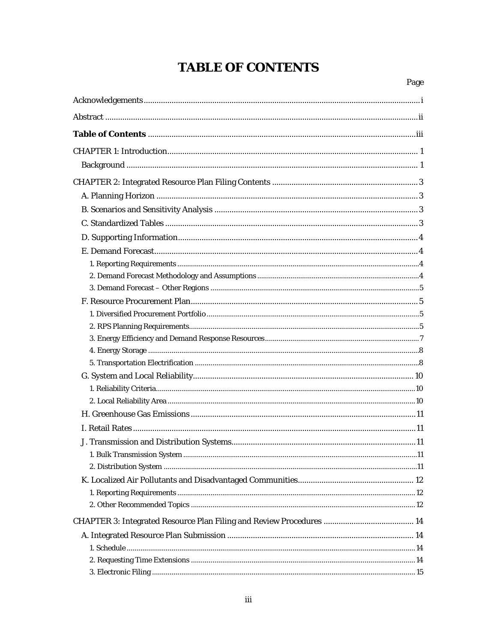# **TABLE OF CONTENTS**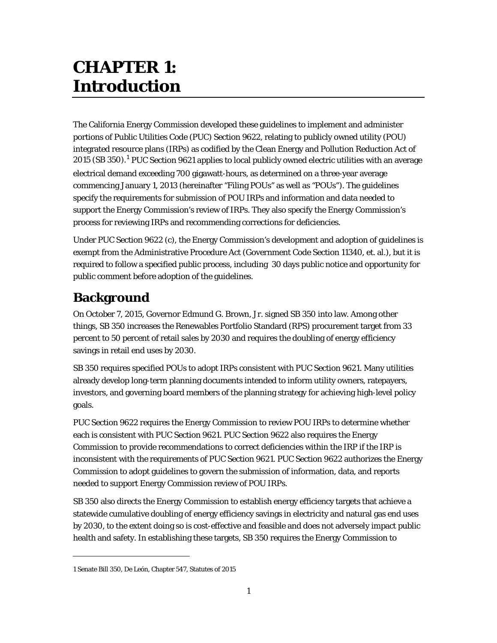# **CHAPTER 1: Introduction**

The California Energy Commission developed these guidelines to implement and administer portions of Public Utilities Code (PUC) Section 9622, relating to publicly owned utility (POU) integrated resource plans (IRPs) as codified by the Clean Energy and Pollution Reduction Act of 20[1](#page-8-0)5 (SB 350).<sup>1</sup> PUC Section 9621 applies to local publicly owned electric utilities with an average electrical demand exceeding 700 gigawatt-hours, as determined on a three-year average commencing January 1, 2013 (hereinafter "Filing POUs" as well as "POUs"). The guidelines specify the requirements for submission of POU IRPs and information and data needed to support the Energy Commission's review of IRPs. They also specify the Energy Commission's process for reviewing IRPs and recommending corrections for deficiencies.

Under PUC Section 9622 (c), the Energy Commission's development and adoption of guidelines is exempt from the Administrative Procedure Act (Government Code Section 11340, et. al.), but it is required to follow a specified public process, including 30 days public notice and opportunity for public comment before adoption of the guidelines.

# **Background**

On October 7, 2015, Governor Edmund G. Brown, Jr. signed SB 350 into law. Among other things, SB 350 increases the Renewables Portfolio Standard (RPS) procurement target from 33 percent to 50 percent of retail sales by 2030 and requires the doubling of energy efficiency savings in retail end uses by 2030.

SB 350 requires specified POUs to adopt IRPs consistent with PUC Section 9621. Many utilities already develop long-term planning documents intended to inform utility owners, ratepayers, investors, and governing board members of the planning strategy for achieving high-level policy goals.

PUC Section 9622 requires the Energy Commission to review POU IRPs to determine whether each is consistent with PUC Section 9621. PUC Section 9622 also requires the Energy Commission to provide recommendations to correct deficiencies within the IRP if the IRP is inconsistent with the requirements of PUC Section 9621. PUC Section 9622 authorizes the Energy Commission to adopt guidelines to govern the submission of information, data, and reports needed to support Energy Commission review of POU IRPs.

SB 350 also directs the Energy Commission to establish energy efficiency targets that achieve a statewide cumulative doubling of energy efficiency savings in electricity and natural gas end uses by 2030, to the extent doing so is cost-effective and feasible and does not adversely impact public health and safety. In establishing these targets, SB 350 requires the Energy Commission to

 $\overline{a}$ 

<span id="page-8-0"></span><sup>1</sup> Senate Bill 350, De León, Chapter 547, Statutes of 2015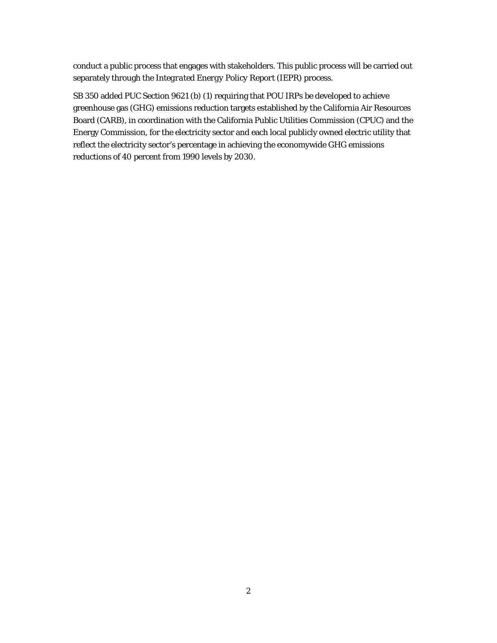conduct a public process that engages with stakeholders. This public process will be carried out separately through the *Integrated Energy Policy Report* (IEPR) process.

SB 350 added PUC Section 9621 (b) (1) requiring that POU IRPs be developed to achieve greenhouse gas (GHG) emissions reduction targets established by the California Air Resources Board (CARB), in coordination with the California Public Utilities Commission (CPUC) and the Energy Commission, for the electricity sector and each local publicly owned electric utility that reflect the electricity sector's percentage in achieving the economywide GHG emissions reductions of 40 percent from 1990 levels by 2030.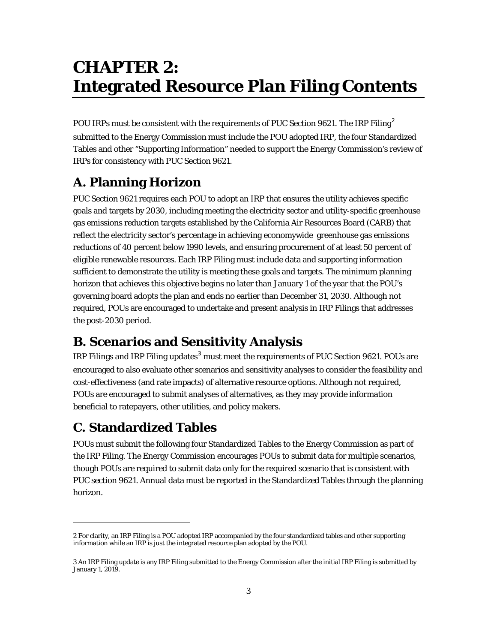# **CHAPTER 2: Integrated Resource Plan Filing Contents**

POU IRPs must be consistent with the requirements of PUC Section 96[2](#page-10-0)1. The IRP Filing<sup>2</sup> submitted to the Energy Commission must include the POU adopted IRP, the four Standardized Tables and other "Supporting Information" needed to support the Energy Commission's review of IRPs for consistency with PUC Section 9621.

# **A. Planning Horizon**

PUC Section 9621 requires each POU to adopt an IRP that ensures the utility achieves specific goals and targets by 2030, including meeting the electricity sector and utility-specific greenhouse gas emissions reduction targets established by the California Air Resources Board (CARB) that reflect the electricity sector's percentage in achieving economywide greenhouse gas emissions reductions of 40 percent below 1990 levels, and ensuring procurement of at least 50 percent of eligible renewable resources. Each IRP Filing must include data and supporting information sufficient to demonstrate the utility is meeting these goals and targets. The minimum planning horizon that achieves this objective begins no later than January 1 of the year that the POU's governing board adopts the plan and ends no earlier than December 31, 2030. Although not required, POUs are encouraged to undertake and present analysis in IRP Filings that addresses the post-2030 period.

# **B. Scenarios and Sensitivity Analysis**

IRP Filings and IRP Filing updates<sup>[3](#page-10-1)</sup> must meet the requirements of PUC Section 9621. POUs are encouraged to also evaluate other scenarios and sensitivity analyses to consider the feasibility and cost-effectiveness (and rate impacts) of alternative resource options. Although not required, POUs are encouraged to submit analyses of alternatives, as they may provide information beneficial to ratepayers, other utilities, and policy makers.

# **C. Standardized Tables**

1

POUs must submit the following four Standardized Tables to the Energy Commission as part of the IRP Filing. The Energy Commission encourages POUs to submit data for multiple scenarios, though POUs are required to submit data only for the required scenario that is consistent with PUC section 9621. Annual data must be reported in the Standardized Tables through the planning horizon.

<span id="page-10-0"></span><sup>2</sup> For clarity, an *IRP* Filing is a POU adopted IRP accompanied by the four standardized tables and other supporting information while an IRP is just the integrated resource plan adopted by the POU.

<span id="page-10-1"></span><sup>3</sup> An *IRP* Filing update is any IRP Filing submitted to the Energy Commission after the initial IRP Filing is submitted by January 1, 2019.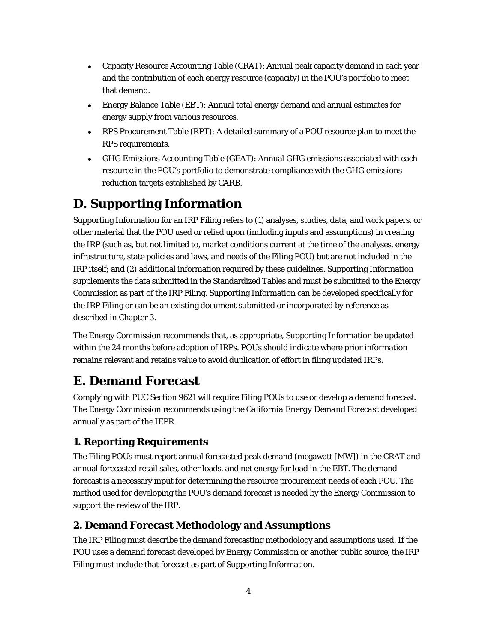- Capacity Resource Accounting Table (CRAT): Annual peak capacity demand in each year and the contribution of each energy resource (capacity) in the POU's portfolio to meet that demand.
- Energy Balance Table (EBT): Annual total energy demand and annual estimates for energy supply from various resources.
- RPS Procurement Table (RPT): A detailed summary of a POU resource plan to meet the RPS requirements.
- GHG Emissions Accounting Table (GEAT): Annual GHG emissions associated with each resource in the POU's portfolio to demonstrate compliance with the GHG emissions reduction targets established by CARB.

# **D. Supporting Information**

Supporting Information for an IRP Filing refers to (1) analyses, studies, data, and work papers, or other material that the POU used or relied upon (including inputs and assumptions) in creating the IRP (such as, but not limited to, market conditions current at the time of the analyses, energy infrastructure, state policies and laws, and needs of the Filing POU) but are not included in the IRP itself; and (2) additional information required by these guidelines. Supporting Information supplements the data submitted in the Standardized Tables and must be submitted to the Energy Commission as part of the IRP Filing. Supporting Information can be developed specifically for the IRP Filing or can be an existing document submitted or incorporated by reference as described in Chapter 3.

The Energy Commission recommends that, as appropriate, Supporting Information be updated within the 24 months before adoption of IRPs. POUs should indicate where prior information remains relevant and retains value to avoid duplication of effort in filing updated IRPs.

# **E. Demand Forecast**

Complying with PUC Section 9621 will require Filing POUs to use or develop a demand forecast. The Energy Commission recommends using the *California Energy Demand Forecast* developed annually as part of the IEPR.

# **1. Reporting Requirements**

The Filing POUs must report annual forecasted peak demand (megawatt [MW]) in the CRAT and annual forecasted retail sales, other loads, and net energy for load in the EBT. The demand forecast is a necessary input for determining the resource procurement needs of each POU. The method used for developing the POU's demand forecast is needed by the Energy Commission to support the review of the IRP.

# **2. Demand Forecast Methodology and Assumptions**

The IRP Filing must describe the demand forecasting methodology and assumptions used. If the POU uses a demand forecast developed by Energy Commission or another public source, the IRP Filing must include that forecast as part of Supporting Information.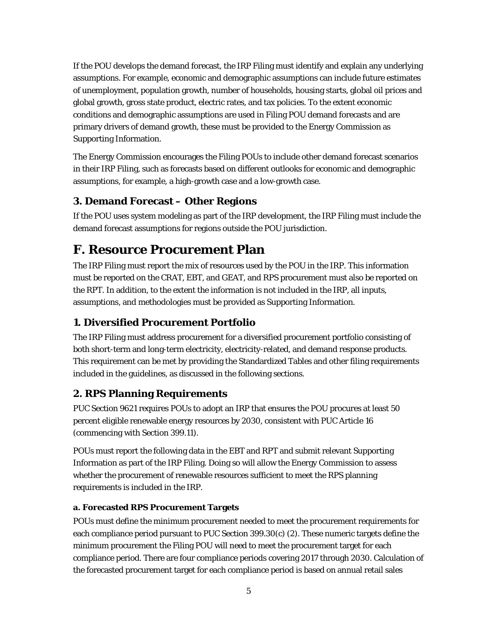If the POU develops the demand forecast, the IRP Filing must identify and explain any underlying assumptions. For example, economic and demographic assumptions can include future estimates of unemployment, population growth, number of households, housing starts, global oil prices and global growth, gross state product, electric rates, and tax policies. To the extent economic conditions and demographic assumptions are used in Filing POU demand forecasts and are primary drivers of demand growth, these must be provided to the Energy Commission as Supporting Information.

The Energy Commission encourages the Filing POUs to include other demand forecast scenarios in their IRP Filing, such as forecasts based on different outlooks for economic and demographic assumptions, for example, a high-growth case and a low-growth case.

# **3. Demand Forecast – Other Regions**

If the POU uses system modeling as part of the IRP development, the IRP Filing must include the demand forecast assumptions for regions outside the POU jurisdiction.

# **F. Resource Procurement Plan**

The IRP Filing must report the mix of resources used by the POU in the IRP. This information must be reported on the CRAT, EBT, and GEAT, and RPS procurement must also be reported on the RPT. In addition, to the extent the information is not included in the IRP, all inputs, assumptions, and methodologies must be provided as Supporting Information.

# **1. Diversified Procurement Portfolio**

The IRP Filing must address procurement for a diversified procurement portfolio consisting of both short-term and long-term electricity, electricity-related, and demand response products. This requirement can be met by providing the Standardized Tables and other filing requirements included in the guidelines, as discussed in the following sections.

# **2. RPS Planning Requirements**

PUC Section 9621 requires POUs to adopt an IRP that ensures the POU procures at least 50 percent eligible renewable energy resources by 2030, consistent with PUC Article 16 (commencing with Section 399.11).

POUs must report the following data in the EBT and RPT and submit relevant Supporting Information as part of the IRP Filing. Doing so will allow the Energy Commission to assess whether the procurement of renewable resources sufficient to meet the RPS planning requirements is included in the IRP.

#### **a. Forecasted RPS Procurement Targets**

POUs must define the minimum procurement needed to meet the procurement requirements for each compliance period pursuant to PUC Section 399.30(c) (2). These numeric targets define the minimum procurement the Filing POU will need to meet the procurement target for each compliance period. There are four compliance periods covering 2017 through 2030. Calculation of the forecasted procurement target for each compliance period is based on annual retail sales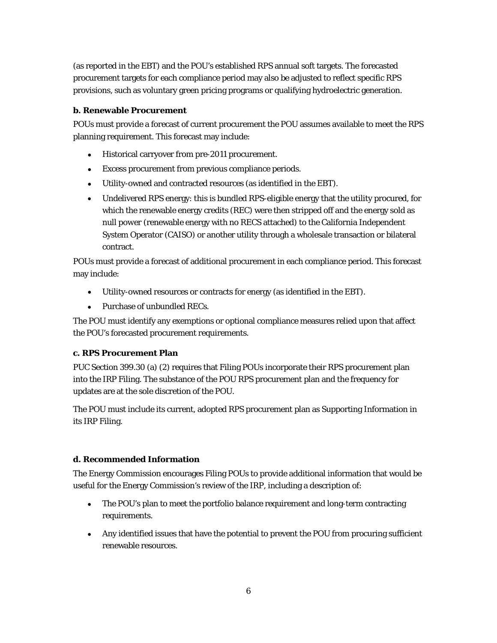(as reported in the EBT) and the POU's established RPS annual soft targets. The forecasted procurement targets for each compliance period may also be adjusted to reflect specific RPS provisions, such as voluntary green pricing programs or qualifying hydroelectric generation.

### **b. Renewable Procurement**

POUs must provide a forecast of current procurement the POU assumes available to meet the RPS planning requirement. This forecast may include:

- Historical carryover from pre-2011 procurement.
- Excess procurement from previous compliance periods.
- Utility-owned and contracted resources (as identified in the EBT).
- Undelivered RPS energy: this is bundled RPS-eligible energy that the utility procured, for which the renewable energy credits (REC) were then stripped off and the energy sold as *null power* (renewable energy with no RECS attached) to the California Independent System Operator (CAISO) or another utility through a wholesale transaction or bilateral contract.

POUs must provide a forecast of additional procurement in each compliance period. This forecast may include:

- Utility-owned resources or contracts for energy (as identified in the EBT).
- Purchase of unbundled RECs.

The POU must identify any exemptions or optional compliance measures relied upon that affect the POU's forecasted procurement requirements.

# **c. RPS Procurement Plan**

PUC Section 399.30 (a) (2) requires that Filing POUs incorporate their RPS procurement plan into the IRP Filing. The substance of the POU RPS procurement plan and the frequency for updates are at the sole discretion of the POU.

The POU must include its current, adopted RPS procurement plan as Supporting Information in its IRP Filing.

# **d. Recommended Information**

The Energy Commission encourages Filing POUs to provide additional information that would be useful for the Energy Commission's review of the IRP, including a description of:

- The POU's plan to meet the portfolio balance requirement and long-term contracting requirements.
- Any identified issues that have the potential to prevent the POU from procuring sufficient renewable resources.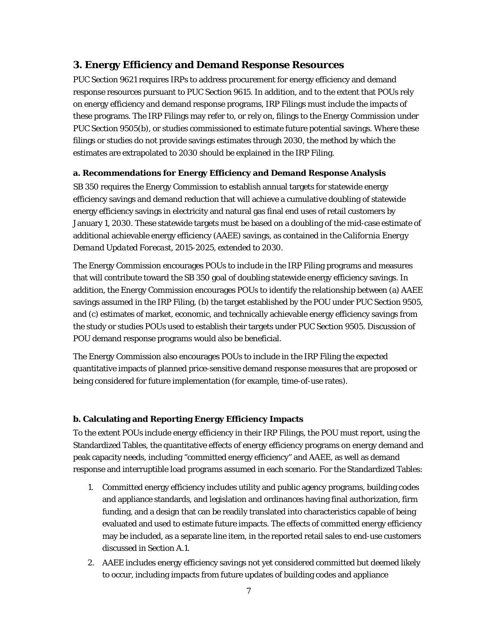# **3. Energy Efficiency and Demand Response Resources**

PUC Section 9621 requires IRPs to address procurement for energy efficiency and demand response resources pursuant to PUC Section 9615. In addition, and to the extent that POUs rely on energy efficiency and demand response programs, IRP Filings must include the impacts of these programs. The IRP Filings may refer to, or rely on, filings to the Energy Commission under PUC Section 9505(b), or studies commissioned to estimate future potential savings. Where these filings or studies do not provide savings estimates through 2030, the method by which the estimates are extrapolated to 2030 should be explained in the IRP Filing.

#### **a. Recommendations for Energy Efficiency and Demand Response Analysis**

SB 350 requires the Energy Commission to establish annual targets for statewide energy efficiency savings and demand reduction that will achieve a cumulative doubling of statewide energy efficiency savings in electricity and natural gas final end uses of retail customers by January 1, 2030. These statewide targets must be based on a doubling of the mid-case estimate of additional achievable energy efficiency (AAEE) savings, as contained in the *California Energy Demand Updated Forecast, 2015-2025*, extended to 2030.

The Energy Commission encourages POUs to include in the IRP Filing programs and measures that will contribute toward the SB 350 goal of doubling statewide energy efficiency savings. In addition, the Energy Commission encourages POUs to identify the relationship between (a) AAEE savings assumed in the IRP Filing, (b) the target established by the POU under PUC Section 9505, and (c) estimates of market, economic, and technically achievable energy efficiency savings from the study or studies POUs used to establish their targets under PUC Section 9505. Discussion of POU demand response programs would also be beneficial.

The Energy Commission also encourages POUs to include in the IRP Filing the expected quantitative impacts of planned price-sensitive demand response measures that are proposed or being considered for future implementation (for example, time-of-use rates).

#### **b. Calculating and Reporting Energy Efficiency Impacts**

To the extent POUs include energy efficiency in their IRP Filings, the POU must report, using the Standardized Tables, the quantitative effects of energy efficiency programs on energy demand and peak capacity needs, including "committed energy efficiency" and AAEE, as well as demand response and interruptible load programs assumed in each scenario. For the Standardized Tables:

- 1. Committed energy efficiency includes utility and public agency programs, building codes and appliance standards, and legislation and ordinances having final authorization, firm funding, and a design that can be readily translated into characteristics capable of being evaluated and used to estimate future impacts. The effects of committed energy efficiency may be included, as a separate line item, in the reported retail sales to end-use customers discussed in Section A.1.
- 2. AAEE includes energy efficiency savings not yet considered committed but deemed likely to occur, including impacts from future updates of building codes and appliance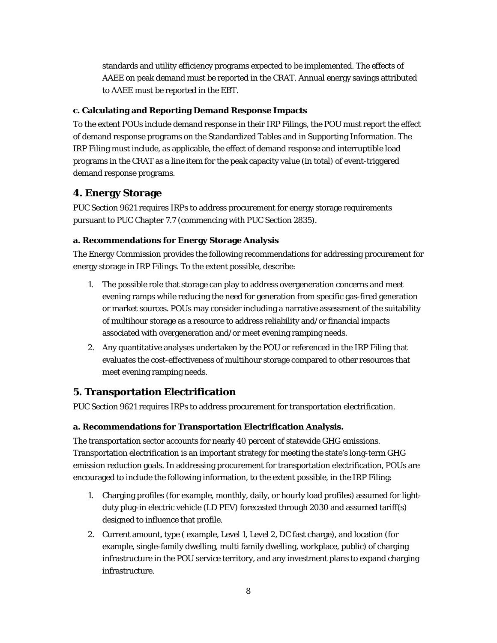standards and utility efficiency programs expected to be implemented. The effects of AAEE on peak demand must be reported in the CRAT. Annual energy savings attributed to AAEE must be reported in the EBT.

### **c. Calculating and Reporting Demand Response Impacts**

To the extent POUs include demand response in their IRP Filings, the POU must report the effect of demand response programs on the Standardized Tables and in Supporting Information. The IRP Filing must include, as applicable, the effect of demand response and interruptible load programs in the CRAT as a line item for the peak capacity value (in total) of event-triggered demand response programs.

# **4. Energy Storage**

PUC Section 9621 requires IRPs to address procurement for energy storage requirements pursuant to PUC Chapter 7.7 (commencing with PUC Section 2835).

# **a. Recommendations for Energy Storage Analysis**

The Energy Commission provides the following recommendations for addressing procurement for energy storage in IRP Filings. To the extent possible, describe:

- 1. The possible role that storage can play to address overgeneration concerns and meet evening ramps while reducing the need for generation from specific gas-fired generation or market sources. POUs may consider including a narrative assessment of the suitability of multihour storage as a resource to address reliability and/or financial impacts associated with overgeneration and/or meet evening ramping needs.
- 2. Any quantitative analyses undertaken by the POU or referenced in the IRP Filing that evaluates the cost-effectiveness of multihour storage compared to other resources that meet evening ramping needs.

# **5. Transportation Electrification**

PUC Section 9621 requires IRPs to address procurement for transportation electrification.

# **a. Recommendations for Transportation Electrification Analysis.**

The transportation sector accounts for nearly 40 percent of statewide GHG emissions. Transportation electrification is an important strategy for meeting the state's long-term GHG emission reduction goals. In addressing procurement for transportation electrification, POUs are encouraged to include the following information, to the extent possible, in the IRP Filing:

- 1. Charging profiles (for example, monthly, daily, or hourly load profiles) assumed for lightduty plug-in electric vehicle (LD PEV) forecasted through 2030 and assumed tariff(s) designed to influence that profile.
- 2. Current amount, type ( example, Level 1, Level 2, DC fast charge), and location (for example, single-family dwelling, multi family dwelling, workplace, public) of charging infrastructure in the POU service territory, and any investment plans to expand charging infrastructure.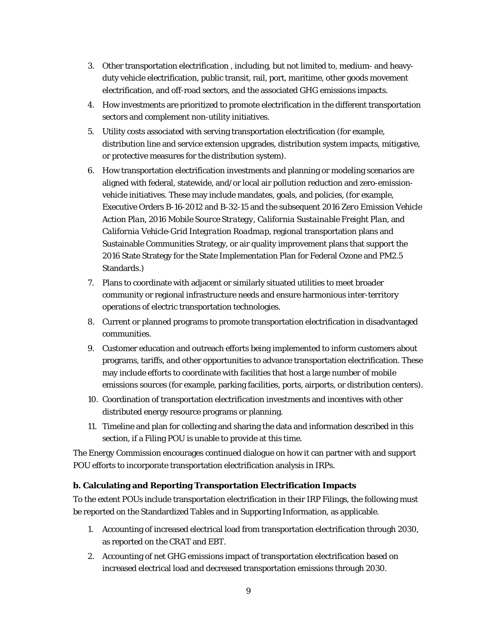- 3. Other transportation electrification , including, but not limited to, medium- and heavyduty vehicle electrification, public transit, rail, port, maritime, other goods movement electrification, and off-road sectors, and the associated GHG emissions impacts.
- 4. How investments are prioritized to promote electrification in the different transportation sectors and complement non-utility initiatives.
- 5. Utility costs associated with serving transportation electrification (for example, distribution line and service extension upgrades, distribution system impacts, mitigative, or protective measures for the distribution system).
- *6.* How transportation electrification investments and planning or modeling scenarios are aligned with federal, statewide, and/or local air pollution reduction and zero-emissionvehicle initiatives. These may include mandates, goals, and policies, (for example, Executive Orders B-16-2012 and B-32-15 and the subsequent *2016 Zero Emission Vehicle Action Plan*, *2016 Mobile Source Strategy*, *California Sustainable Freight Plan*, and *California Vehicle-Grid Integration Roadmap,* regional transportation plans and Sustainable Communities Strategy*,* or air quality improvement plans that support the 2016 State Strategy for the State Implementation Plan for Federal Ozone and PM2.5 Standards.)
- 7. Plans to coordinate with adjacent or similarly situated utilities to meet broader community or regional infrastructure needs and ensure harmonious inter-territory operations of electric transportation technologies.
- 8. Current or planned programs to promote transportation electrification in disadvantaged communities.
- 9. Customer education and outreach efforts being implemented to inform customers about programs, tariffs, and other opportunities to advance transportation electrification. These may include efforts to coordinate with facilities that host a large number of mobile emissions sources (for example, parking facilities, ports, airports, or distribution centers).
- 10. Coordination of transportation electrification investments and incentives with other distributed energy resource programs or planning.
- 11. Timeline and plan for collecting and sharing the data and information described in this section, if a Filing POU is unable to provide at this time.

The Energy Commission encourages continued dialogue on how it can partner with and support POU efforts to incorporate transportation electrification analysis in IRPs.

# **b. Calculating and Reporting Transportation Electrification Impacts**

To the extent POUs include transportation electrification in their IRP Filings, the following must be reported on the Standardized Tables and in Supporting Information, as applicable.

- 1. Accounting of increased electrical load from transportation electrification through 2030, as reported on the CRAT and EBT.
- 2. Accounting of net GHG emissions impact of transportation electrification based on increased electrical load and decreased transportation emissions through 2030.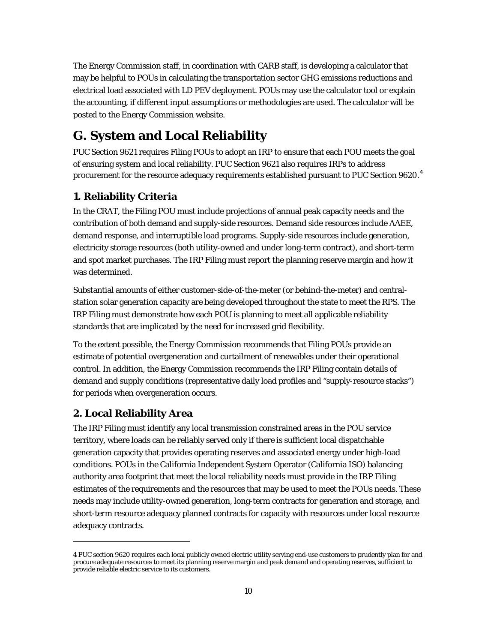The Energy Commission staff, in coordination with CARB staff, is developing a calculator that may be helpful to POUs in calculating the transportation sector GHG emissions reductions and electrical load associated with LD PEV deployment. POUs may use the calculator tool or explain the accounting, if different input assumptions or methodologies are used. The calculator will be posted to the Energy Commission website.

# **G. System and Local Reliability**

PUC Section 9621 requires Filing POUs to adopt an IRP to ensure that each POU meets the goal of ensuring system and local reliability. PUC Section 9621 also requires IRPs to address procurement for the resource adequacy requirements established pursuant to PUC Section 9620. $^{\rm 4}$  $^{\rm 4}$  $^{\rm 4}$ 

# **1. Reliability Criteria**

In the CRAT, the Filing POU must include projections of annual peak capacity needs and the contribution of both demand and supply-side resources. Demand side resources include AAEE, demand response, and interruptible load programs. Supply-side resources include generation, electricity storage resources (both utility-owned and under long-term contract), and short-term and spot market purchases. The IRP Filing must report the planning reserve margin and how it was determined.

Substantial amounts of either customer-side-of-the-meter (or behind-the-meter) and centralstation solar generation capacity are being developed throughout the state to meet the RPS. The IRP Filing must demonstrate how each POU is planning to meet all applicable reliability standards that are implicated by the need for increased grid flexibility.

To the extent possible, the Energy Commission recommends that Filing POUs provide an estimate of potential overgeneration and curtailment of renewables under their operational control. In addition, the Energy Commission recommends the IRP Filing contain details of demand and supply conditions (representative daily load profiles and "supply-resource stacks") for periods when overgeneration occurs.

# **2. Local Reliability Area**

1

The IRP Filing must identify any local transmission constrained areas in the POU service territory, where loads can be reliably served only if there is sufficient local dispatchable generation capacity that provides operating reserves and associated energy under high-load conditions. POUs in the California Independent System Operator (California ISO) balancing authority area footprint that meet the local reliability needs must provide in the IRP Filing estimates of the requirements and the resources that may be used to meet the POUs needs. These needs may include utility-owned generation, long-term contracts for generation and storage, and short-term resource adequacy planned contracts for capacity with resources under local resource adequacy contracts.

<span id="page-17-0"></span><sup>4</sup> PUC section 9620 requires each local publicly owned electric utility serving end-use customers to prudently plan for and procure adequate resources to meet its planning reserve margin and peak demand and operating reserves, sufficient to provide reliable electric service to its customers.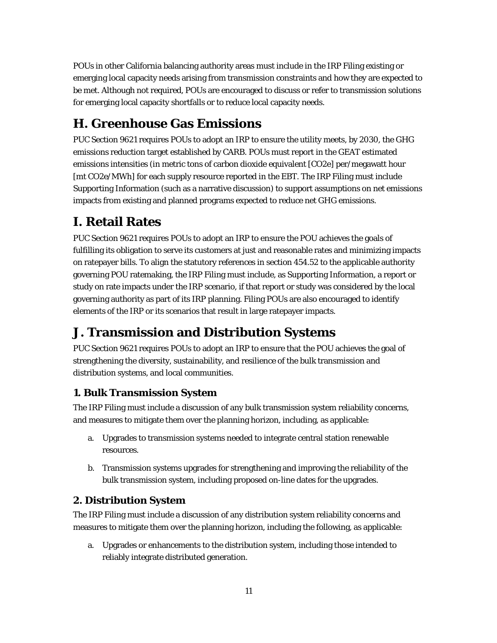POUs in other California balancing authority areas must include in the IRP Filing existing or emerging local capacity needs arising from transmission constraints and how they are expected to be met. Although not required, POUs are encouraged to discuss or refer to transmission solutions for emerging local capacity shortfalls or to reduce local capacity needs.

# **H. Greenhouse Gas Emissions**

PUC Section 9621 requires POUs to adopt an IRP to ensure the utility meets, by 2030, the GHG emissions reduction target established by CARB. POUs must report in the GEAT estimated emissions intensities (in metric tons of carbon dioxide equivalent [CO2e] per/megawatt hour [mt CO2e/MWh] for each supply resource reported in the EBT. The IRP Filing must include Supporting Information (such as a narrative discussion) to support assumptions on net emissions impacts from existing and planned programs expected to reduce net GHG emissions.

# **I. Retail Rates**

PUC Section 9621 requires POUs to adopt an IRP to ensure the POU achieves the goals of fulfilling its obligation to serve its customers at just and reasonable rates and minimizing impacts on ratepayer bills. To align the statutory references in section 454.52 to the applicable authority governing POU ratemaking, the IRP Filing must include, as Supporting Information, a report or study on rate impacts under the IRP scenario, if that report or study was considered by the local governing authority as part of its IRP planning. Filing POUs are also encouraged to identify elements of the IRP or its scenarios that result in large ratepayer impacts.

# **J. Transmission and Distribution Systems**

PUC Section 9621 requires POUs to adopt an IRP to ensure that the POU achieves the goal of strengthening the diversity, sustainability, and resilience of the bulk transmission and distribution systems, and local communities.

# **1. Bulk Transmission System**

The IRP Filing must include a discussion of any bulk transmission system reliability concerns, and measures to mitigate them over the planning horizon, including, as applicable:

- a. Upgrades to transmission systems needed to integrate central station renewable resources.
- b. Transmission systems upgrades for strengthening and improving the reliability of the bulk transmission system, including proposed on-line dates for the upgrades.

# **2. Distribution System**

The IRP Filing must include a discussion of any distribution system reliability concerns and measures to mitigate them over the planning horizon, including the following, as applicable:

a. Upgrades or enhancements to the distribution system, including those intended to reliably integrate distributed generation.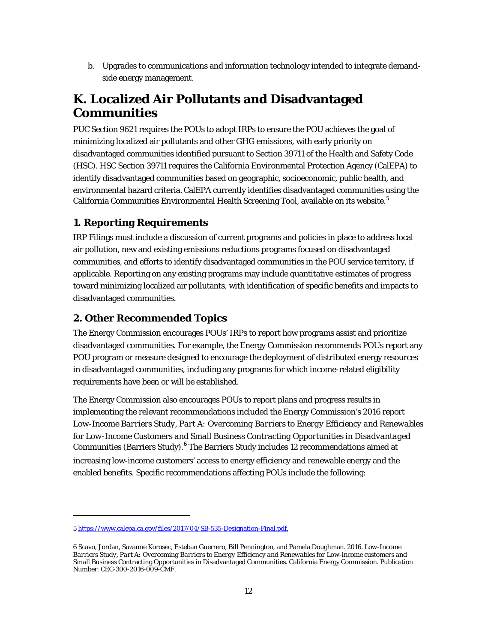b. Upgrades to communications and information technology intended to integrate demandside energy management.

# **K. Localized Air Pollutants and Disadvantaged Communities**

PUC Section 9621 requires the POUs to adopt IRPs to ensure the POU achieves the goal of minimizing localized air pollutants and other GHG emissions, with early priority on disadvantaged communities identified pursuant to Section 39711 of the Health and Safety Code (HSC). HSC Section 39711 requires the California Environmental Protection Agency (CalEPA) to identify disadvantaged communities based on geographic, socioeconomic, public health, and environmental hazard criteria. CalEPA currently identifies disadvantaged communities using the California Communities Environmental Health Screening Tool, available on its website. [5](#page-19-0)

# **1. Reporting Requirements**

IRP Filings must include a discussion of current programs and policies in place to address local air pollution, new and existing emissions reductions programs focused on disadvantaged communities, and efforts to identify disadvantaged communities in the POU service territory, if applicable. Reporting on any existing programs may include quantitative estimates of progress toward minimizing localized air pollutants, with identification of specific benefits and impacts to disadvantaged communities.

# **2. Other Recommended Topics**

The Energy Commission encourages POUs' IRPs to report how programs assist and prioritize disadvantaged communities. For example, the Energy Commission recommends POUs report any POU program or measure designed to encourage the deployment of distributed energy resources in disadvantaged communities, including any programs for which income-related eligibility requirements have been or will be established.

The Energy Commission also encourages POUs to report plans and progress results in implementing the relevant recommendations included the Energy Commission's 2016 report *Low-Income Barriers Study, Part A: Overcoming Barriers to Energy Efficiency and Renewables for Low-Income Customers and Small Business Contracting Opportunities in Disadvantaged*  Communities (Barriers Study).<sup>[6](#page-19-1)</sup> The Barriers Study includes 12 recommendations aimed at increasing low-income customers' access to energy efficiency and renewable energy and the enabled benefits. Specific recommendations affecting POUs include the following:

1

<span id="page-19-0"></span><sup>5</sup> [https://www.calepa.ca.gov/files/2017/04/SB-535-Designation-Final.pdf.](https://www.calepa.ca.gov/files/2017/04/SB-535-Designation-Final.pdf)

<span id="page-19-1"></span><sup>6</sup> Scavo, Jordan, Suzanne Korosec, Esteban Guerrero, Bill Pennington, and Pamela Doughman. 2016. *Low-Income Barriers Study, Part A: Overcoming Barriers to Energy Efficiency and Renewables for Low-income customers and Small Business* Contracting Opportunities in Disadvantaged Communities. California Energy Commission. Publication Number: CEC-300-2016-009-CMF.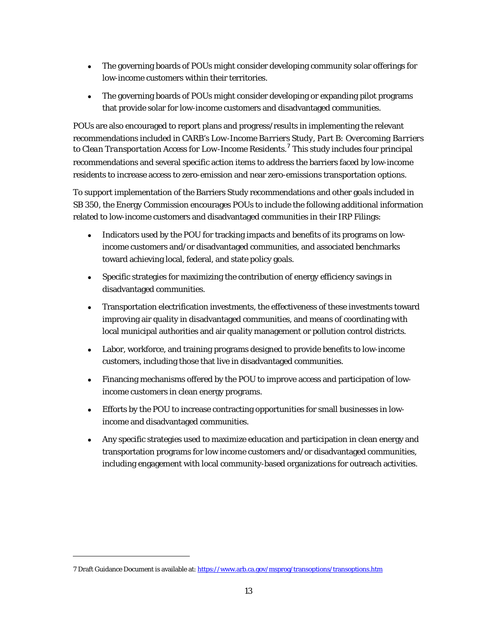- The governing boards of POUs might consider developing community solar offerings for low-income customers within their territories.
- The governing boards of POUs might consider developing or expanding pilot programs that provide solar for low-income customers and disadvantaged communities.

POUs are also encouraged to report plans and progress/results in implementing the relevant recommendations included in CARB's *Low-Income Barriers Study, Part B: Overcoming Barriers to Clean Transportation Access for Low-Income Residents*. [7](#page-20-0) This study includes four principal recommendations and several specific action items to address the barriers faced by low-income residents to increase access to zero-emission and near zero-emissions transportation options.

To support implementation of the Barriers Study recommendations and other goals included in SB 350, the Energy Commission encourages POUs to include the following additional information related to low-income customers and disadvantaged communities in their IRP Filings:

- Indicators used by the POU for tracking impacts and benefits of its programs on lowincome customers and/or disadvantaged communities, and associated benchmarks toward achieving local, federal, and state policy goals.
- Specific strategies for maximizing the contribution of energy efficiency savings in disadvantaged communities.
- Transportation electrification investments, the effectiveness of these investments toward improving air quality in disadvantaged communities, and means of coordinating with local municipal authorities and air quality management or pollution control districts.
- Labor, workforce, and training programs designed to provide benefits to low-income customers, including those that live in disadvantaged communities.
- Financing mechanisms offered by the POU to improve access and participation of lowincome customers in clean energy programs.
- Efforts by the POU to increase contracting opportunities for small businesses in lowincome and disadvantaged communities.
- Any specific strategies used to maximize education and participation in clean energy and transportation programs for low income customers and/or disadvantaged communities, including engagement with local community-based organizations for outreach activities.

 $\overline{a}$ 

<span id="page-20-0"></span><sup>7</sup> Draft Guidance Document is available at[: https://www.arb.ca.gov/msprog/transoptions/transoptions.htm](https://www.arb.ca.gov/msprog/transoptions/transoptions.htm)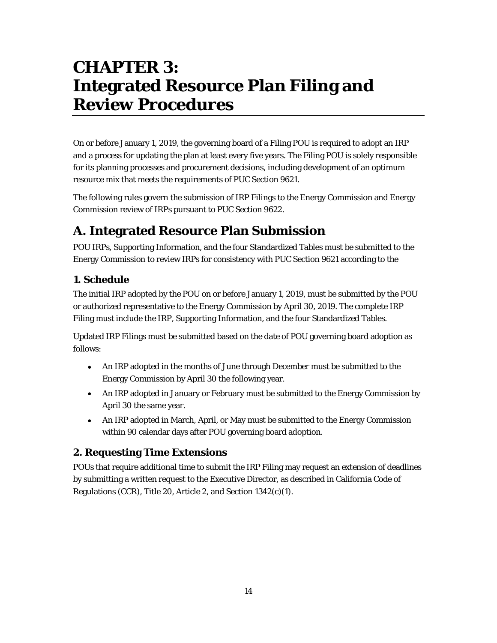# **CHAPTER 3: Integrated Resource Plan Filing and Review Procedures**

On or before January 1, 2019, the governing board of a Filing POU is required to adopt an IRP and a process for updating the plan at least every five years. The Filing POU is solely responsible for its planning processes and procurement decisions, including development of an optimum resource mix that meets the requirements of PUC Section 9621.

The following rules govern the submission of IRP Filings to the Energy Commission and Energy Commission review of IRPs pursuant to PUC Section 9622.

# **A. Integrated Resource Plan Submission**

POU IRPs, Supporting Information, and the four Standardized Tables must be submitted to the Energy Commission to review IRPs for consistency with PUC Section 9621 according to the

# **1. Schedule**

The initial IRP adopted by the POU on or before January 1, 2019, must be submitted by the POU or authorized representative to the Energy Commission by April 30, 2019. The complete IRP Filing must include the IRP, Supporting Information, and the four Standardized Tables.

Updated IRP Filings must be submitted based on the date of POU governing board adoption as follows:

- An IRP adopted in the months of June through December must be submitted to the Energy Commission by April 30 the following year.
- An IRP adopted in January or February must be submitted to the Energy Commission by April 30 the same year.
- An IRP adopted in March, April, or May must be submitted to the Energy Commission within 90 calendar days after POU governing board adoption.

# **2. Requesting Time Extensions**

POUs that require additional time to submit the IRP Filing may request an extension of deadlines by submitting a written request to the Executive Director, as described in California Code of Regulations (CCR), Title 20, Article 2, and Section 1342(c)(1).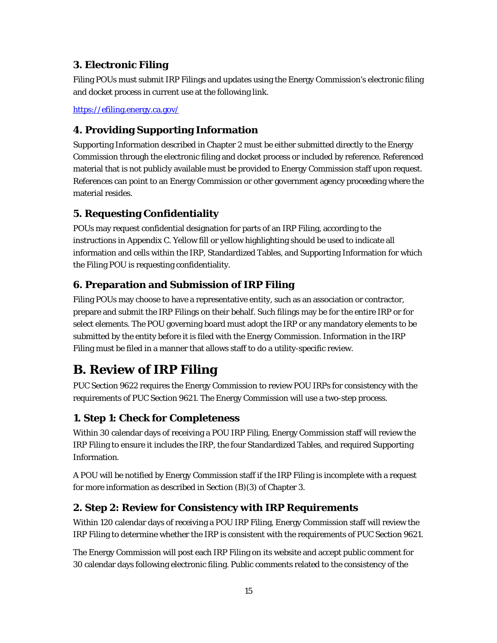# **3. Electronic Filing**

Filing POUs must submit IRP Filings and updates using the Energy Commission's electronic filing and docket process in current use at the following link.

<https://efiling.energy.ca.gov/>

# **4. Providing Supporting Information**

Supporting Information described in Chapter 2 must be either submitted directly to the Energy Commission through the electronic filing and docket process or included by reference. Referenced material that is not publicly available must be provided to Energy Commission staff upon request. References can point to an Energy Commission or other government agency proceeding where the material resides.

# **5. Requesting Confidentiality**

POUs may request confidential designation for parts of an IRP Filing, according to the instructions in Appendix C. Yellow fill or yellow highlighting should be used to indicate all information and cells within the IRP, Standardized Tables, and Supporting Information for which the Filing POU is requesting confidentiality.

# **6. Preparation and Submission of IRP Filing**

Filing POUs may choose to have a representative entity, such as an association or contractor, prepare and submit the IRP Filings on their behalf. Such filings may be for the entire IRP or for select elements. The POU governing board must adopt the IRP or any mandatory elements to be submitted by the entity before it is filed with the Energy Commission. Information in the IRP Filing must be filed in a manner that allows staff to do a utility-specific review.

# **B. Review of IRP Filing**

PUC Section 9622 requires the Energy Commission to review POU IRPs for consistency with the requirements of PUC Section 9621. The Energy Commission will use a two-step process.

# **1. Step 1: Check for Completeness**

Within 30 calendar days of receiving a POU IRP Filing, Energy Commission staff will review the IRP Filing to ensure it includes the IRP, the four Standardized Tables, and required Supporting Information.

A POU will be notified by Energy Commission staff if the IRP Filing is incomplete with a request for more information as described in Section (B)(3) of Chapter 3.

# **2. Step 2: Review for Consistency with IRP Requirements**

Within 120 calendar days of receiving a POU IRP Filing, Energy Commission staff will review the IRP Filing to determine whether the IRP is consistent with the requirements of PUC Section 9621.

The Energy Commission will post each IRP Filing on its website and accept public comment for 30 calendar days following electronic filing. Public comments related to the consistency of the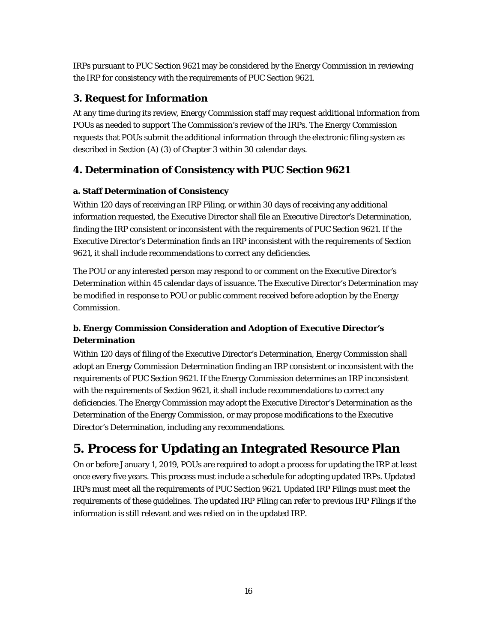IRPs pursuant to PUC Section 9621 may be considered by the Energy Commission in reviewing the IRP for consistency with the requirements of PUC Section 9621.

# **3. Request for Information**

At any time during its review, Energy Commission staff may request additional information from POUs as needed to support The Commission's review of the IRPs. The Energy Commission requests that POUs submit the additional information through the electronic filing system as described in Section (A) (3) of Chapter 3 within 30 calendar days.

# **4. Determination of Consistency with PUC Section 9621**

#### **a. Staff Determination of Consistency**

Within 120 days of receiving an IRP Filing, or within 30 days of receiving any additional information requested, the Executive Director shall file an Executive Director's Determination, finding the IRP consistent or inconsistent with the requirements of PUC Section 9621. If the Executive Director's Determination finds an IRP inconsistent with the requirements of Section 9621, it shall include recommendations to correct any deficiencies.

The POU or any interested person may respond to or comment on the Executive Director's Determination within 45 calendar days of issuance. The Executive Director's Determination may be modified in response to POU or public comment received before adoption by the Energy Commission.

# **b. Energy Commission Consideration and Adoption of Executive Director's Determination**

Within 120 days of filing of the Executive Director's Determination, Energy Commission shall adopt an Energy Commission Determination finding an IRP consistent or inconsistent with the requirements of PUC Section 9621. If the Energy Commission determines an IRP inconsistent with the requirements of Section 9621, it shall include recommendations to correct any deficiencies. The Energy Commission may adopt the Executive Director's Determination as the Determination of the Energy Commission, or may propose modifications to the Executive Director's Determination, including any recommendations.

# **5. Process for Updating an Integrated Resource Plan**

On or before January 1, 2019, POUs are required to adopt a process for updating the IRP at least once every five years. This process must include a schedule for adopting updated IRPs. Updated IRPs must meet all the requirements of PUC Section 9621. Updated IRP Filings must meet the requirements of these guidelines. The updated IRP Filing can refer to previous IRP Filings if the information is still relevant and was relied on in the updated IRP.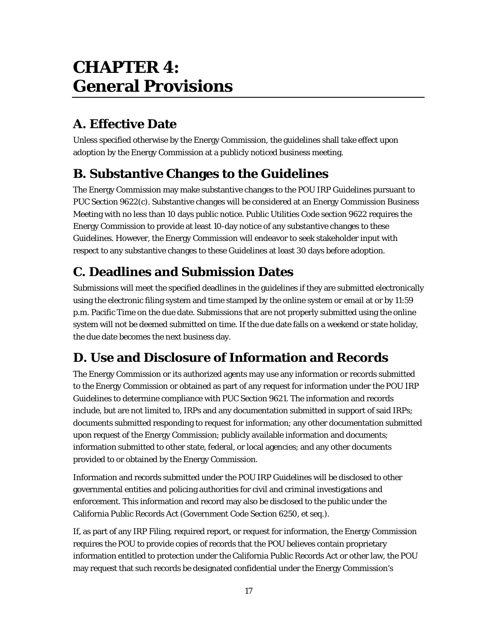# **CHAPTER 4: General Provisions**

# **A. Effective Date**

Unless specified otherwise by the Energy Commission, the guidelines shall take effect upon adoption by the Energy Commission at a publicly noticed business meeting.

# **B. Substantive Changes to the Guidelines**

The Energy Commission may make substantive changes to the POU IRP Guidelines pursuant to PUC Section 9622(c). Substantive changes will be considered at an Energy Commission Business Meeting with no less than 10 days public notice. Public Utilities Code section 9622 requires the Energy Commission to provide at least 10-day notice of any substantive changes to these Guidelines. However, the Energy Commission will endeavor to seek stakeholder input with respect to any substantive changes to these Guidelines at least 30 days before adoption.

# **C. Deadlines and Submission Dates**

Submissions will meet the specified deadlines in the guidelines if they are submitted electronically using the electronic filing system and time stamped by the online system or email at or by 11:59 p.m. Pacific Time on the due date. Submissions that are not properly submitted using the online system will not be deemed submitted on time. If the due date falls on a weekend or state holiday, the due date becomes the next business day.

# **D. Use and Disclosure of Information and Records**

The Energy Commission or its authorized agents may use any information or records submitted to the Energy Commission or obtained as part of any request for information under the POU IRP Guidelines to determine compliance with PUC Section 9621. The information and records include, but are not limited to, IRPs and any documentation submitted in support of said IRPs; documents submitted responding to request for information; any other documentation submitted upon request of the Energy Commission; publicly available information and documents; information submitted to other state, federal, or local agencies; and any other documents provided to or obtained by the Energy Commission.

Information and records submitted under the POU IRP Guidelines will be disclosed to other governmental entities and policing authorities for civil and criminal investigations and enforcement. This information and record may also be disclosed to the public under the California Public Records Act (Government Code Section 6250, et seq.).

If, as part of any IRP Filing, required report, or request for information, the Energy Commission requires the POU to provide copies of records that the POU believes contain proprietary information entitled to protection under the California Public Records Act or other law, the POU may request that such records be designated confidential under the Energy Commission's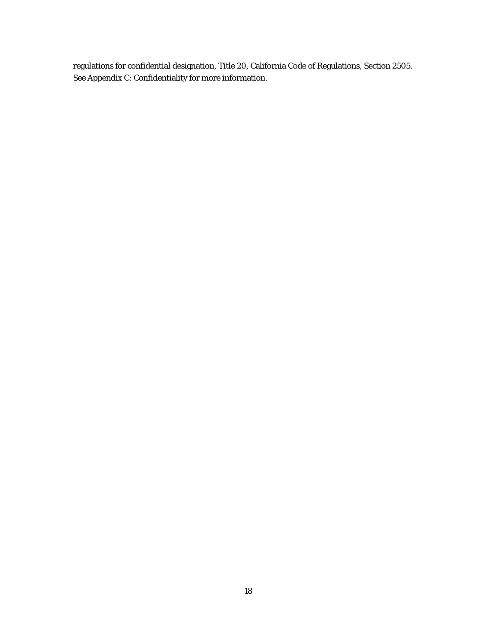regulations for confidential designation, Title 20, California Code of Regulations, Section 2505. See Appendix C: Confidentiality for more information.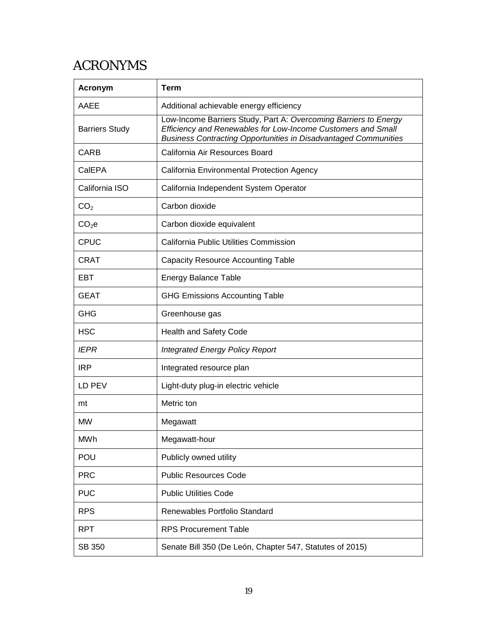# ACRONYMS

| <b>Acronym</b>        | <b>Term</b>                                                                                                                                                                                                |
|-----------------------|------------------------------------------------------------------------------------------------------------------------------------------------------------------------------------------------------------|
| AAEE                  | Additional achievable energy efficiency                                                                                                                                                                    |
| <b>Barriers Study</b> | Low-Income Barriers Study, Part A: Overcoming Barriers to Energy<br>Efficiency and Renewables for Low-Income Customers and Small<br><b>Business Contracting Opportunities in Disadvantaged Communities</b> |
| <b>CARB</b>           | California Air Resources Board                                                                                                                                                                             |
| CalEPA                | California Environmental Protection Agency                                                                                                                                                                 |
| California ISO        | California Independent System Operator                                                                                                                                                                     |
| CO <sub>2</sub>       | Carbon dioxide                                                                                                                                                                                             |
| CO <sub>2</sub> e     | Carbon dioxide equivalent                                                                                                                                                                                  |
| CPUC                  | California Public Utilities Commission                                                                                                                                                                     |
| CRAT                  | <b>Capacity Resource Accounting Table</b>                                                                                                                                                                  |
| EBT                   | <b>Energy Balance Table</b>                                                                                                                                                                                |
| <b>GEAT</b>           | <b>GHG Emissions Accounting Table</b>                                                                                                                                                                      |
| <b>GHG</b>            | Greenhouse gas                                                                                                                                                                                             |
| <b>HSC</b>            | <b>Health and Safety Code</b>                                                                                                                                                                              |
| <b>IEPR</b>           | <b>Integrated Energy Policy Report</b>                                                                                                                                                                     |
| <b>IRP</b>            | Integrated resource plan                                                                                                                                                                                   |
| LD PEV                | Light-duty plug-in electric vehicle                                                                                                                                                                        |
| mt                    | Metric ton                                                                                                                                                                                                 |
| <b>MW</b>             | Megawatt                                                                                                                                                                                                   |
| MWh                   | Megawatt-hour                                                                                                                                                                                              |
| POU                   | Publicly owned utility                                                                                                                                                                                     |
| <b>PRC</b>            | <b>Public Resources Code</b>                                                                                                                                                                               |
| <b>PUC</b>            | <b>Public Utilities Code</b>                                                                                                                                                                               |
| <b>RPS</b>            | Renewables Portfolio Standard                                                                                                                                                                              |
| <b>RPT</b>            | <b>RPS Procurement Table</b>                                                                                                                                                                               |
| SB 350                | Senate Bill 350 (De León, Chapter 547, Statutes of 2015)                                                                                                                                                   |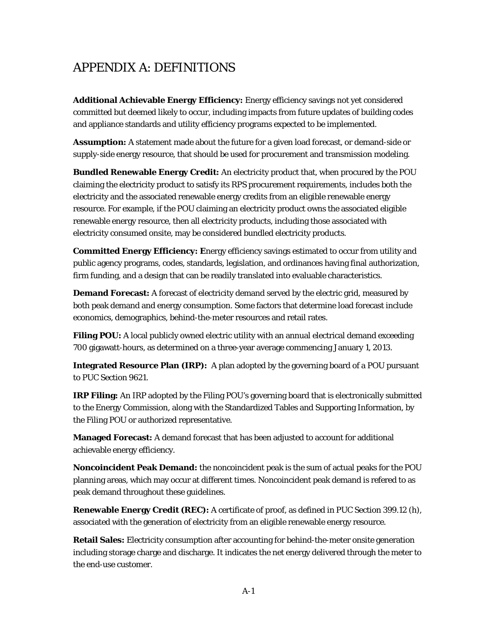# APPENDIX A: DEFINITIONS

**Additional Achievable Energy Efficiency:** Energy efficiency savings not yet considered committed but deemed likely to occur, including impacts from future updates of building codes and appliance standards and utility efficiency programs expected to be implemented.

**Assumption:** A statement made about the future for a given load forecast, or demand-side or supply-side energy resource, that should be used for procurement and transmission modeling.

**Bundled Renewable Energy Credit:** An electricity product that, when procured by the POU claiming the electricity product to satisfy its RPS procurement requirements, includes both the electricity and the associated renewable energy credits from an eligible renewable energy resource. For example, if the POU claiming an electricity product owns the associated eligible renewable energy resource, then all electricity products, including those associated with electricity consumed onsite, may be considered bundled electricity products.

**Committed Energy Efficiency: E**nergy efficiency savings estimated to occur from utility and public agency programs, codes, standards, legislation, and ordinances having final authorization, firm funding, and a design that can be readily translated into evaluable characteristics.

**Demand Forecast:** A forecast of electricity demand served by the electric grid, measured by both peak demand and energy consumption. Some factors that determine load forecast include economics, demographics, behind-the-meter resources and retail rates.

**Filing POU:** A local publicly owned electric utility with an annual electrical demand exceeding 700 gigawatt-hours, as determined on a three-year average commencing January 1, 2013.

**Integrated Resource Plan (IRP):** A plan adopted by the governing board of a POU pursuant to PUC Section 9621.

**IRP Filing:** An IRP adopted by the Filing POU's governing board that is electronically submitted to the Energy Commission, along with the Standardized Tables and Supporting Information, by the Filing POU or authorized representative.

**Managed Forecast:** A demand forecast that has been adjusted to account for additional achievable energy efficiency.

**Noncoincident Peak Demand:** the noncoincident peak is the sum of actual peaks for the POU planning areas, which may occur at different times. Noncoincident peak demand is refered to as peak demand throughout these guidelines.

**Renewable Energy Credit (REC):** A certificate of proof, as defined in PUC Section 399.12 (h), associated with the generation of electricity from an eligible renewable energy resource.

**Retail Sales:** Electricity consumption after accounting for behind-the-meter onsite generation including storage charge and discharge. It indicates the net energy delivered through the meter to the end-use customer.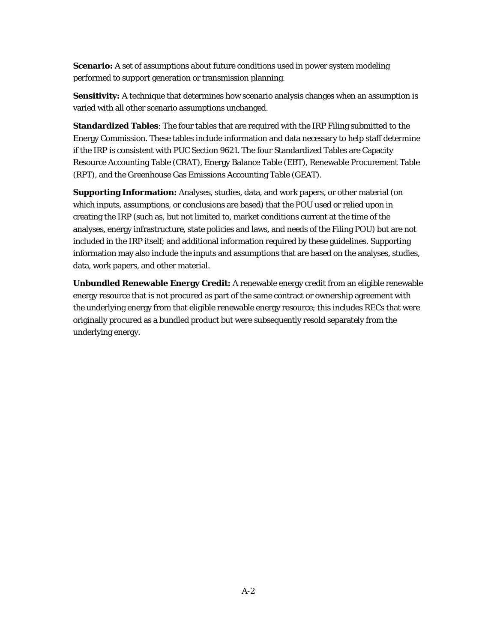**Scenario:** A set of assumptions about future conditions used in power system modeling performed to support generation or transmission planning.

**Sensitivity:** A technique that determines how scenario analysis changes when an assumption is varied with all other scenario assumptions unchanged.

**Standardized Tables**: The four tables that are required with the IRP Filing submitted to the Energy Commission. These tables include information and data necessary to help staff determine if the IRP is consistent with PUC Section 9621. The four Standardized Tables are Capacity Resource Accounting Table (CRAT), Energy Balance Table (EBT), Renewable Procurement Table (RPT), and the Greenhouse Gas Emissions Accounting Table (GEAT).

**Supporting Information:** Analyses, studies, data, and work papers, or other material (on which inputs, assumptions, or conclusions are based) that the POU used or relied upon in creating the IRP (such as, but not limited to, market conditions current at the time of the analyses, energy infrastructure, state policies and laws, and needs of the Filing POU) but are not included in the IRP itself; and additional information required by these guidelines. Supporting information may also include the inputs and assumptions that are based on the analyses, studies, data, work papers, and other material.

**Unbundled Renewable Energy Credit:** A renewable energy credit from an eligible renewable energy resource that is not procured as part of the same contract or ownership agreement with the underlying energy from that eligible renewable energy resource; this includes RECs that were originally procured as a bundled product but were subsequently resold separately from the underlying energy.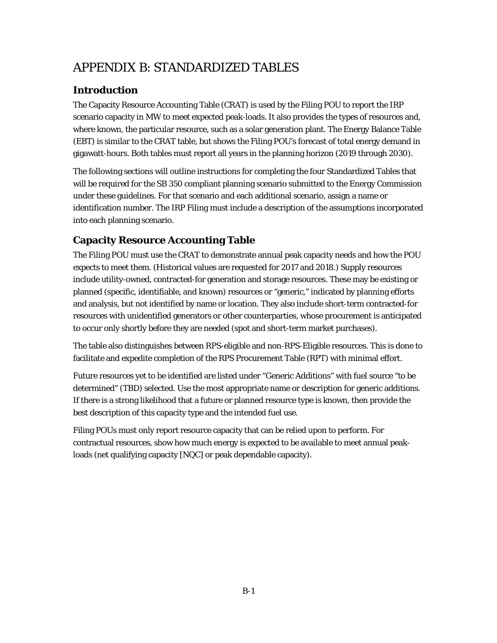# APPENDIX B: STANDARDIZED TABLES

# **Introduction**

The Capacity Resource Accounting Table (CRAT) is used by the Filing POU to report the IRP scenario capacity in MW to meet expected peak-loads. It also provides the types of resources and, where known, the particular resource, such as a solar generation plant. The Energy Balance Table (EBT) is similar to the CRAT table, but shows the Filing POU's forecast of total energy demand in gigawatt-hours. Both tables must report all years in the planning horizon (2019 through 2030).

The following sections will outline instructions for completing the four Standardized Tables that will be required for the SB 350 compliant planning scenario submitted to the Energy Commission under these guidelines. For that scenario and each additional scenario, assign a name or identification number. The IRP Filing must include a description of the assumptions incorporated into each planning scenario.

# **Capacity Resource Accounting Table**

The Filing POU must use the CRAT to demonstrate annual peak capacity needs and how the POU expects to meet them. (Historical values are requested for 2017 and 2018.) Supply resources include utility-owned, contracted-for generation and storage resources. These may be existing or planned (specific, identifiable, and known) resources or "generic," indicated by planning efforts and analysis, but not identified by name or location. They also include short-term contracted-for resources with unidentified generators or other counterparties, whose procurement is anticipated to occur only shortly before they are needed (spot and short-term market purchases).

The table also distinguishes between RPS-eligible and non-RPS-Eligible resources. This is done to facilitate and expedite completion of the RPS Procurement Table (RPT) with minimal effort.

Future resources yet to be identified are listed under "Generic Additions" with fuel source "to be determined" (TBD) selected. Use the most appropriate name or description for generic additions. If there is a strong likelihood that a future or planned resource type is known, then provide the best description of this capacity type and the intended fuel use.

Filing POUs must only report resource capacity that can be relied upon to perform. For contractual resources, show how much energy is expected to be available to meet annual peakloads (net qualifying capacity [NQC] or peak dependable capacity).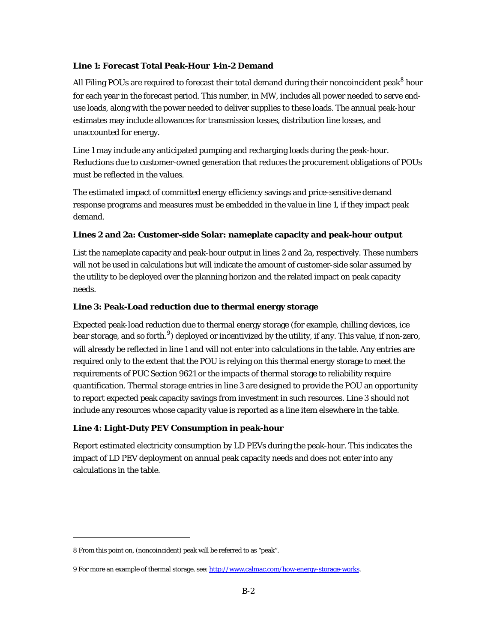#### **Line 1: Forecast Total Peak-Hour 1-in-2 Demand**

All Filing POUs are required to forecast their total demand during their noncoincident peak ${}^{8}$  ${}^{8}$  ${}^{8}$  hour for each year in the forecast period. This number, in MW, includes all power needed to serve enduse loads, along with the power needed to deliver supplies to these loads. The annual peak-hour estimates may include allowances for transmission losses, distribution line losses, and unaccounted for energy.

Line 1 may include any anticipated pumping and recharging loads during the peak-hour. Reductions due to customer-owned generation that reduces the procurement obligations of POUs must be reflected in the values.

The estimated impact of committed energy efficiency savings and price-sensitive demand response programs and measures must be embedded in the value in line 1, if they impact peak demand.

#### **Lines 2 and 2a: Customer-side Solar: nameplate capacity and peak-hour output**

List the nameplate capacity and peak-hour output in lines 2 and 2a, respectively. These numbers will not be used in calculations but will indicate the amount of customer-side solar assumed by the utility to be deployed over the planning horizon and the related impact on peak capacity needs.

#### **Line 3: Peak-Load reduction due to thermal energy storage**

Expected peak-load reduction due to thermal energy storage (for example, chilling devices, ice bear storage, and so forth.<sup>[9](#page-30-1)</sup>) deployed or incentivized by the utility, if any. This value, if non-zero, will already be reflected in line 1 and will not enter into calculations in the table. Any entries are required only to the extent that the POU is relying on this thermal energy storage to meet the requirements of PUC Section 9621 or the impacts of thermal storage to reliability require quantification. Thermal storage entries in line 3 are designed to provide the POU an opportunity to report expected peak capacity savings from investment in such resources. Line 3 should not include any resources whose capacity value is reported as a line item elsewhere in the table.

# **Line 4: Light-Duty PEV Consumption in peak-hour**

Report estimated electricity consumption by LD PEVs during the peak-hour. This indicates the impact of LD PEV deployment on annual peak capacity needs and does not enter into any calculations in the table.

 $\overline{a}$ 

<span id="page-30-0"></span><sup>8</sup> From this point on, (noncoincident) peak will be referred to as "peak".

<span id="page-30-1"></span><sup>9</sup> For more an example of thermal storage, see: http://www.calmac.com/how-energy-storage-works.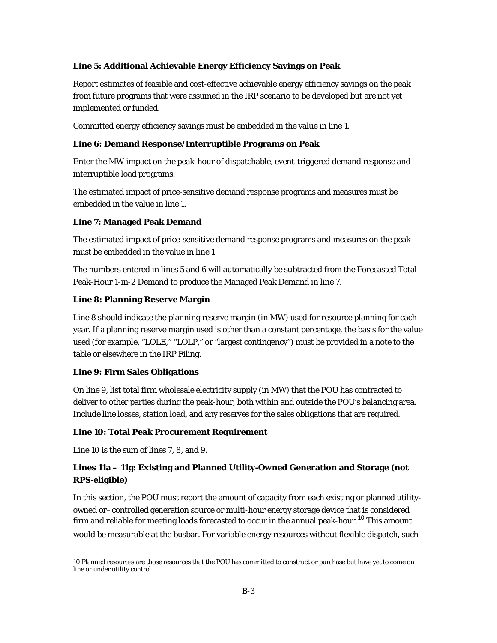### **Line 5: Additional Achievable Energy Efficiency Savings on Peak**

Report estimates of feasible and cost-effective achievable energy efficiency savings on the peak from future programs that were assumed in the IRP scenario to be developed but are not yet implemented or funded.

Committed energy efficiency savings must be embedded in the value in line 1.

### **Line 6: Demand Response/Interruptible Programs on Peak**

Enter the MW impact on the peak-hour of dispatchable, event-triggered demand response and interruptible load programs.

The estimated impact of price-sensitive demand response programs and measures must be embedded in the value in line 1.

### **Line 7: Managed Peak Demand**

The estimated impact of price-sensitive demand response programs and measures on the peak must be embedded in the value in line 1

The numbers entered in lines 5 and 6 will automatically be subtracted from the Forecasted Total Peak-Hour 1-in-2 Demand to produce the Managed Peak Demand in line 7.

### **Line 8: Planning Reserve Margin**

Line 8 should indicate the planning reserve margin (in MW) used for resource planning for each year. If a planning reserve margin used is other than a constant percentage, the basis for the value used (for example, "LOLE," "LOLP," or "largest contingency") must be provided in a note to the table or elsewhere in the IRP Filing.

#### **Line 9: Firm Sales Obligations**

On line 9, list total firm wholesale electricity supply (in MW) that the POU has contracted to deliver to other parties during the peak-hour, both within and outside the POU's balancing area. Include line losses, station load, and any reserves for the sales obligations that are required.

#### **Line 10: Total Peak Procurement Requirement**

Line 10 is the sum of lines 7, 8, and 9.

 $\overline{a}$ 

# **Lines 11a – 11g: Existing and Planned Utility-Owned Generation and Storage (not RPS-eligible)**

In this section, the POU must report the amount of capacity from each existing or planned utilityowned or–controlled generation source or multi-hour energy storage device that is considered firm and reliable for meeting loads forecasted to occur in the annual peak-hour.<sup>[10](#page-31-0)</sup> This amount would be measurable at the busbar. For variable energy resources without flexible dispatch, such

<span id="page-31-0"></span><sup>10</sup> Planned resources are those resources that the POU has committed to construct or purchase but have yet to come on line or under utility control.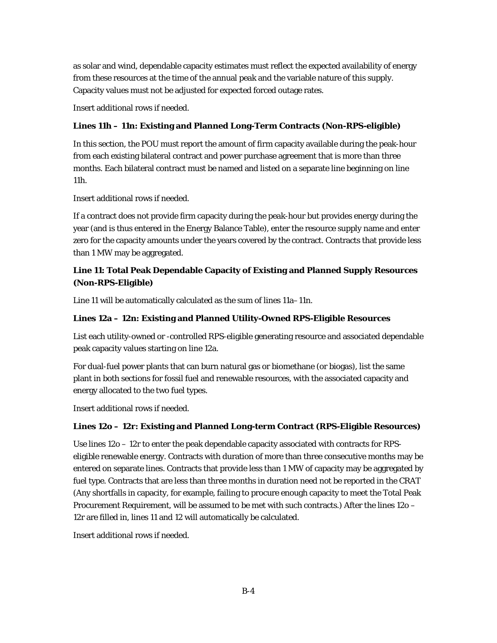as solar and wind, dependable capacity estimates must reflect the expected availability of energy from these resources at the time of the annual peak and the variable nature of this supply. Capacity values must not be adjusted for expected forced outage rates.

Insert additional rows if needed.

# **Lines 11h – 11n: Existing and Planned Long-Term Contracts (Non-RPS-eligible)**

In this section, the POU must report the amount of firm capacity available during the peak-hour from each existing bilateral contract and power purchase agreement that is more than three months. Each bilateral contract must be named and listed on a separate line beginning on line 11h.

Insert additional rows if needed.

If a contract does not provide firm capacity during the peak-hour but provides energy during the year (and is thus entered in the Energy Balance Table), enter the resource supply name and enter zero for the capacity amounts under the years covered by the contract. Contracts that provide less than 1 MW may be aggregated.

# **Line 11: Total Peak Dependable Capacity of Existing and Planned Supply Resources (Non-RPS-Eligible)**

Line 11 will be automatically calculated as the sum of lines 11a–11n.

### **Lines 12a – 12n: Existing and Planned Utility-Owned RPS-Eligible Resources**

List each utility-owned or -controlled RPS-eligible generating resource and associated dependable peak capacity values starting on line 12a.

For dual-fuel power plants that can burn natural gas or biomethane (or biogas), list the same plant in both sections for fossil fuel and renewable resources, with the associated capacity and energy allocated to the two fuel types.

Insert additional rows if needed.

# **Lines 12o – 12r: Existing and Planned Long-term Contract (RPS-Eligible Resources)**

Use lines 12o – 12r to enter the peak dependable capacity associated with contracts for RPSeligible renewable energy. Contracts with duration of more than three consecutive months may be entered on separate lines. Contracts that provide less than 1 MW of capacity may be aggregated by fuel type. Contracts that are less than three months in duration need not be reported in the CRAT (Any shortfalls in capacity, for example, failing to procure enough capacity to meet the Total Peak Procurement Requirement, will be assumed to be met with such contracts.) After the lines 12o – 12r are filled in, lines 11 and 12 will automatically be calculated.

Insert additional rows if needed.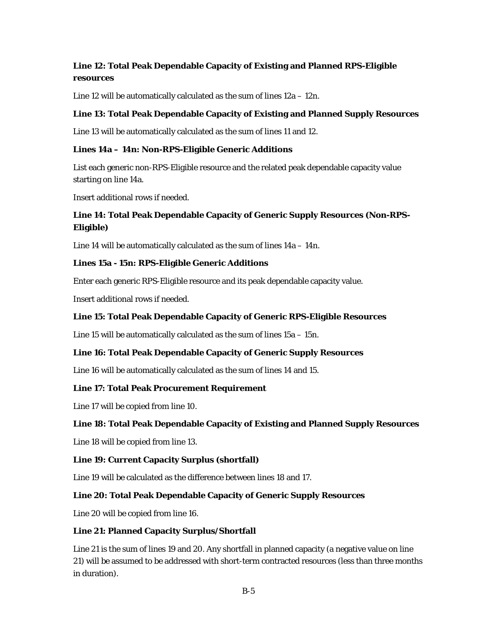# **Line 12: Total Peak Dependable Capacity of Existing and Planned RPS-Eligible resources**

Line 12 will be automatically calculated as the sum of lines 12a – 12n.

# **Line 13: Total Peak Dependable Capacity of Existing and Planned Supply Resources**

Line 13 will be automatically calculated as the sum of lines 11 and 12.

# **Lines 14a – 14n: Non-RPS-Eligible Generic Additions**

List each generic non-RPS-Eligible resource and the related peak dependable capacity value starting on line 14a.

Insert additional rows if needed.

# **Line 14: Total Peak Dependable Capacity of Generic Supply Resources (Non-RPS-Eligible)**

Line 14 will be automatically calculated as the sum of lines 14a – 14n.

# **Lines 15a - 15n: RPS-Eligible Generic Additions**

Enter each generic RPS-Eligible resource and its peak dependable capacity value.

Insert additional rows if needed.

### **Line 15: Total Peak Dependable Capacity of Generic RPS-Eligible Resources**

Line 15 will be automatically calculated as the sum of lines 15a – 15n.

# **Line 16: Total Peak Dependable Capacity of Generic Supply Resources**

Line 16 will be automatically calculated as the sum of lines 14 and 15.

# **Line 17: Total Peak Procurement Requirement**

Line 17 will be copied from line 10.

# **Line 18: Total Peak Dependable Capacity of Existing and Planned Supply Resources**

Line 18 will be copied from line 13.

# **Line 19: Current Capacity Surplus (shortfall)**

Line 19 will be calculated as the difference between lines 18 and 17.

# **Line 20: Total Peak Dependable Capacity of Generic Supply Resources**

Line 20 will be copied from line 16.

# **Line 21: Planned Capacity Surplus/Shortfall**

Line 21 is the sum of lines 19 and 20. Any shortfall in planned capacity (a negative value on line 21) will be assumed to be addressed with short-term contracted resources (less than three months in duration).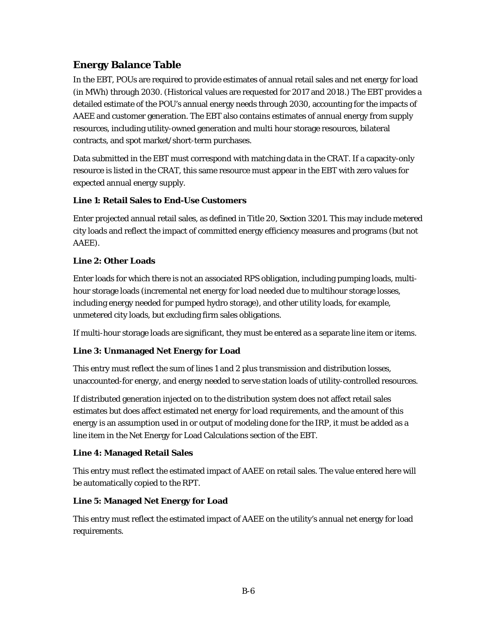# **Energy Balance Table**

In the EBT, POUs are required to provide estimates of annual retail sales and net energy for load (in MWh) through 2030. (Historical values are requested for 2017 and 2018.) The EBT provides a detailed estimate of the POU's annual energy needs through 2030, accounting for the impacts of AAEE and customer generation. The EBT also contains estimates of annual energy from supply resources, including utility-owned generation and multi hour storage resources, bilateral contracts, and spot market/short-term purchases.

Data submitted in the EBT must correspond with matching data in the CRAT. If a capacity-only resource is listed in the CRAT, this same resource must appear in the EBT with zero values for expected annual energy supply.

# **Line 1: Retail Sales to End-Use Customers**

Enter projected annual retail sales, as defined in Title 20, Section 3201. This may include metered city loads and reflect the impact of committed energy efficiency measures and programs (but not AAEE).

# **Line 2: Other Loads**

Enter loads for which there is not an associated RPS obligation, including pumping loads, multihour storage loads (incremental net energy for load needed due to multihour storage losses, including energy needed for pumped hydro storage), and other utility loads, for example, unmetered city loads, but excluding firm sales obligations.

If multi-hour storage loads are significant, they must be entered as a separate line item or items.

# **Line 3: Unmanaged Net Energy for Load**

This entry must reflect the sum of lines 1 and 2 plus transmission and distribution losses, unaccounted-for energy, and energy needed to serve station loads of utility-controlled resources.

If distributed generation injected on to the distribution system does not affect retail sales estimates but does affect estimated net energy for load requirements, and the amount of this energy is an assumption used in or output of modeling done for the IRP*,* it must be added as a line item in the Net Energy for Load Calculations section of the EBT.

# **Line 4: Managed Retail Sales**

This entry must reflect the estimated impact of AAEE on retail sales. The value entered here will be automatically copied to the RPT.

# **Line 5: Managed Net Energy for Load**

This entry must reflect the estimated impact of AAEE on the utility's annual net energy for load requirements.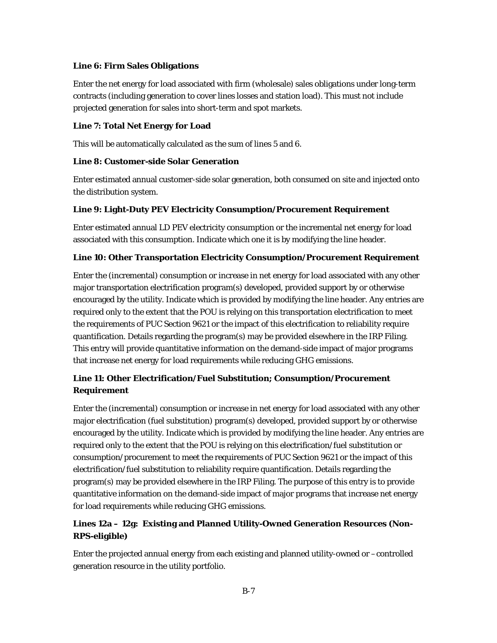#### **Line 6: Firm Sales Obligations**

Enter the net energy for load associated with firm (wholesale) sales obligations under long-term contracts (including generation to cover lines losses and station load). This must not include projected generation for sales into short-term and spot markets.

### **Line 7: Total Net Energy for Load**

This will be automatically calculated as the sum of lines 5 and 6.

# **Line 8: Customer-side Solar Generation**

Enter estimated annual customer-side solar generation, both consumed on site and injected onto the distribution system.

# **Line 9: Light-Duty PEV Electricity Consumption/Procurement Requirement**

Enter estimated annual LD PEV electricity consumption or the incremental net energy for load associated with this consumption. Indicate which one it is by modifying the line header.

### **Line 10: Other Transportation Electricity Consumption/Procurement Requirement**

Enter the (incremental) consumption or increase in net energy for load associated with any other major transportation electrification program(s) developed, provided support by or otherwise encouraged by the utility. Indicate which is provided by modifying the line header. Any entries are required only to the extent that the POU is relying on this transportation electrification to meet the requirements of PUC Section 9621 or the impact of this electrification to reliability require quantification. Details regarding the program(s) may be provided elsewhere in the IRP Filing. This entry will provide quantitative information on the demand-side impact of major programs that increase net energy for load requirements while reducing GHG emissions.

# **Line 11: Other Electrification/Fuel Substitution; Consumption/Procurement Requirement**

Enter the (incremental) consumption or increase in net energy for load associated with any other major electrification (fuel substitution) program(s) developed, provided support by or otherwise encouraged by the utility. Indicate which is provided by modifying the line header. Any entries are required only to the extent that the POU is relying on this electrification/fuel substitution or consumption/procurement to meet the requirements of PUC Section 9621 or the impact of this electrification/fuel substitution to reliability require quantification. Details regarding the program(s) may be provided elsewhere in the IRP Filing. The purpose of this entry is to provide quantitative information on the demand-side impact of major programs that increase net energy for load requirements while reducing GHG emissions.

# **Lines 12a – 12g: Existing and Planned Utility-Owned Generation Resources (Non-RPS-eligible)**

Enter the projected annual energy from each existing and planned utility-owned or –controlled generation resource in the utility portfolio.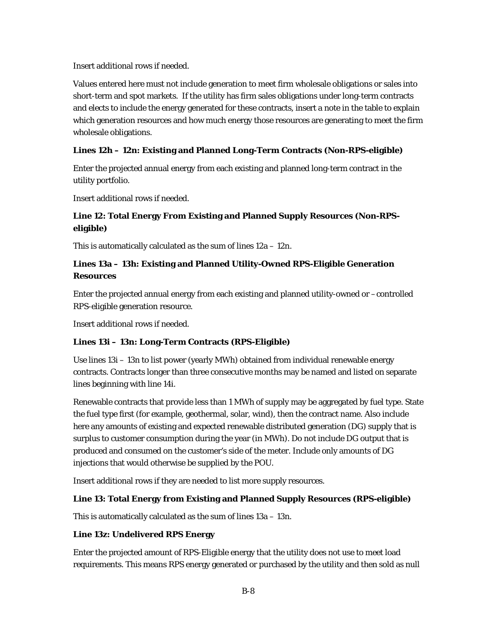Insert additional rows if needed.

Values entered here must not include generation to meet firm wholesale obligations or sales into short-term and spot markets. If the utility has firm sales obligations under long-term contracts and elects to include the energy generated for these contracts, insert a note in the table to explain which generation resources and how much energy those resources are generating to meet the firm wholesale obligations.

# **Lines 12h – 12n: Existing and Planned Long-Term Contracts (Non-RPS-eligible)**

Enter the projected annual energy from each existing and planned long-term contract in the utility portfolio.

Insert additional rows if needed.

# **Line 12: Total Energy From Existing and Planned Supply Resources (Non-RPSeligible)**

This is automatically calculated as the sum of lines 12a – 12n.

# **Lines 13a – 13h: Existing and Planned Utility-Owned RPS-Eligible Generation Resources**

Enter the projected annual energy from each existing and planned utility-owned or –controlled RPS-eligible generation resource.

Insert additional rows if needed.

# **Lines 13i – 13n: Long-Term Contracts (RPS-Eligible)**

Use lines 13i – 13n to list power (yearly MWh) obtained from individual renewable energy contracts. Contracts longer than three consecutive months may be named and listed on separate lines beginning with line 14i.

Renewable contracts that provide less than 1 MWh of supply may be aggregated by fuel type. State the fuel type first (for example, geothermal, solar, wind), then the contract name. Also include here any amounts of existing and expected renewable distributed generation (DG) supply that is surplus to customer consumption during the year (in MWh). Do not include DG output that is produced and consumed on the customer's side of the meter. Include only amounts of DG injections that would otherwise be supplied by the POU.

Insert additional rows if they are needed to list more supply resources.

# **Line 13: Total Energy from Existing and Planned Supply Resources (RPS-eligible)**

This is automatically calculated as the sum of lines 13a – 13n.

# **Line 13z: Undelivered RPS Energy**

Enter the projected amount of RPS-Eligible energy that the utility does not use to meet load requirements. This means RPS energy generated or purchased by the utility and then sold as null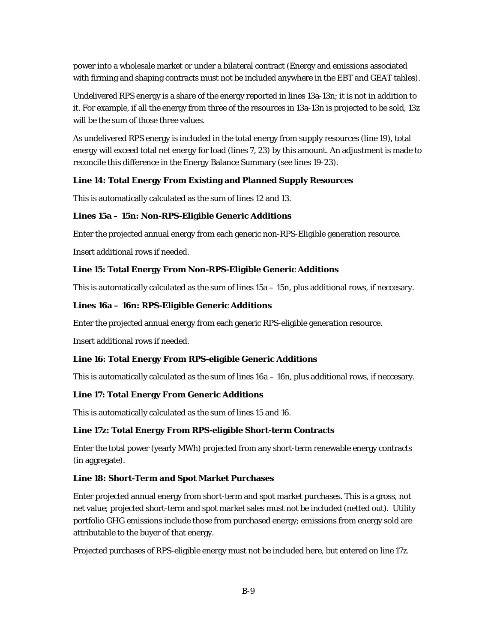power into a wholesale market or under a bilateral contract (Energy and emissions associated with firming and shaping contracts must not be included anywhere in the EBT and GEAT tables).

Undelivered RPS energy is a share of the energy reported in lines 13a-13n; it is not in addition to it. For example, if all the energy from three of the resources in 13a-13n is projected to be sold, 13z will be the sum of those three values.

As undelivered RPS energy is included in the total energy from supply resources (line 19), total energy will exceed total net energy for load (lines 7, 23) by this amount. An adjustment is made to reconcile this difference in the Energy Balance Summary (see lines 19-23).

### **Line 14: Total Energy From Existing and Planned Supply Resources**

This is automatically calculated as the sum of lines 12 and 13.

#### **Lines 15a – 15n: Non-RPS-Eligible Generic Additions**

Enter the projected annual energy from each generic non-RPS-Eligible generation resource.

Insert additional rows if needed.

#### **Line 15: Total Energy From Non-RPS-Eligible Generic Additions**

This is automatically calculated as the sum of lines 15a – 15n, plus additional rows, if neccesary.

#### **Lines 16a – 16n: RPS-Eligible Generic Additions**

Enter the projected annual energy from each generic RPS-eligible generation resource.

Insert additional rows if needed.

#### **Line 16: Total Energy From RPS-eligible Generic Additions**

This is automatically calculated as the sum of lines 16a – 16n, plus additional rows, if neccesary.

### **Line 17: Total Energy From Generic Additions**

This is automatically calculated as the sum of lines 15 and 16.

#### **Line 17z: Total Energy From RPS-eligible Short-term Contracts**

Enter the total power (yearly MWh) projected from any short-term renewable energy contracts (in aggregate).

#### **Line 18: Short-Term and Spot Market Purchases**

Enter projected annual energy from short-term and spot market purchases. This is a gross, not net value; projected short-term and spot market sales must not be included (netted out). Utility portfolio GHG emissions include those from purchased energy; emissions from energy sold are attributable to the buyer of that energy.

Projected purchases of RPS-eligible energy must not be included here, but entered on line 17z.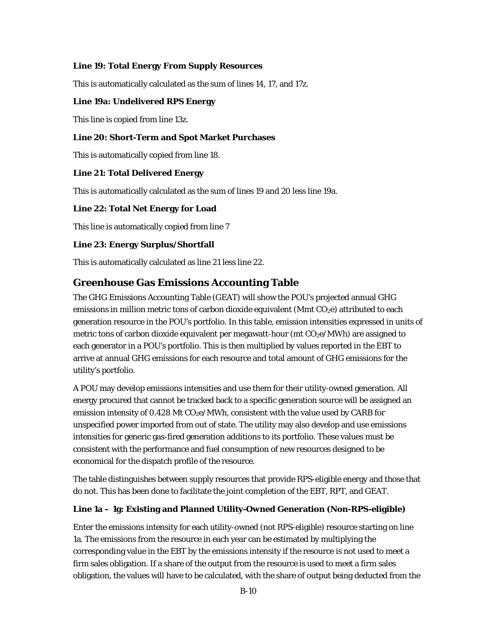#### **Line 19: Total Energy From Supply Resources**

This is automatically calculated as the sum of lines 14, 17, and 17z.

#### **Line 19a: Undelivered RPS Energy**

This line is copied from line 13z.

#### **Line 20: Short-Term and Spot Market Purchases**

This is automatically copied from line 18.

#### **Line 21: Total Delivered Energy**

This is automatically calculated as the sum of lines 19 and 20 less line 19a.

#### **Line 22: Total Net Energy for Load**

This line is automatically copied from line 7

#### **Line 23: Energy Surplus/Shortfall**

This is automatically calculated as line 21 less line 22.

# **Greenhouse Gas Emissions Accounting Table**

The GHG Emissions Accounting Table (GEAT) will show the POU's projected annual GHG emissions in million metric tons of carbon dioxide equivalent (Mmt CO<sub>2</sub>e) attributed to each generation resource in the POU's portfolio. In this table, emission intensities expressed in units of metric tons of carbon dioxide equivalent per megawatt-hour (mt  $CO<sub>2</sub>e/MWh$ ) are assigned to each generator in a POU's portfolio. This is then multiplied by values reported in the EBT to arrive at annual GHG emissions for each resource and total amount of GHG emissions for the utility's portfolio.

A POU may develop emissions intensities and use them for their utility-owned generation. All energy procured that cannot be tracked back to a specific generation source will be assigned an emission intensity of  $0.428$  Mt  $CO<sub>2</sub>e/MWh$ , consistent with the value used by CARB for unspecified power imported from out of state. The utility may also develop and use emissions intensities for generic gas-fired generation additions to its portfolio. These values must be consistent with the performance and fuel consumption of new resources designed to be economical for the dispatch profile of the resource.

The table distinguishes between supply resources that provide RPS-eligible energy and those that do not. This has been done to facilitate the joint completion of the EBT, RPT, and GEAT.

#### **Line 1a – 1g: Existing and Planned Utility-Owned Generation (Non-RPS-eligible)**

Enter the emissions intensity for each utility-owned (not RPS-eligible) resource starting on line 1a. The emissions from the resource in each year can be estimated by multiplying the corresponding value in the EBT by the emissions intensity if the resource is not used to meet a firm sales obligation. If a share of the output from the resource is used to meet a firm sales obligation, the values will have to be calculated, with the share of output being deducted from the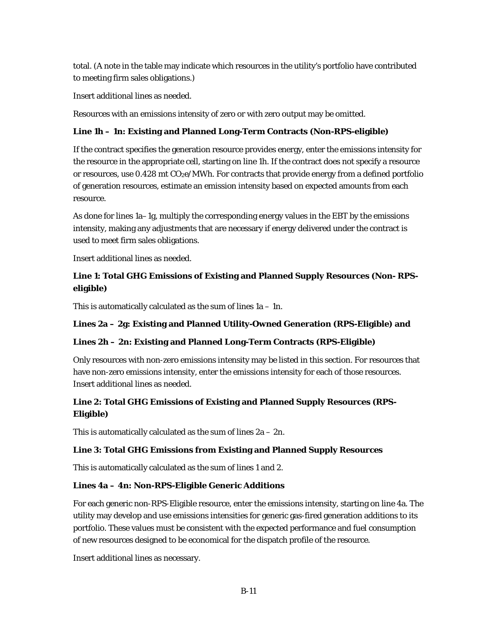total. (A note in the table may indicate which resources in the utility's portfolio have contributed to meeting firm sales obligations.)

Insert additional lines as needed.

Resources with an emissions intensity of zero or with zero output may be omitted.

#### **Line 1h – 1n: Existing and Planned Long-Term Contracts (Non-RPS-eligible)**

If the contract specifies the generation resource provides energy, enter the emissions intensity for the resource in the appropriate cell, starting on line 1h. If the contract does not specify a resource or resources, use 0.428 mt CO<sub>2</sub>e/MWh. For contracts that provide energy from a defined portfolio of generation resources, estimate an emission intensity based on expected amounts from each resource.

As done for lines 1a–1g, multiply the corresponding energy values in the EBT by the emissions intensity, making any adjustments that are necessary if energy delivered under the contract is used to meet firm sales obligations.

Insert additional lines as needed.

# **Line 1: Total GHG Emissions of Existing and Planned Supply Resources (Non- RPSeligible)**

This is automatically calculated as the sum of lines  $1a - 1n$ .

### **Lines 2a – 2g: Existing and Planned Utility-Owned Generation (RPS-Eligible) and**

#### **Lines 2h – 2n: Existing and Planned Long-Term Contracts (RPS-Eligible)**

Only resources with non-zero emissions intensity may be listed in this section. For resources that have non-zero emissions intensity, enter the emissions intensity for each of those resources. Insert additional lines as needed.

# **Line 2: Total GHG Emissions of Existing and Planned Supply Resources (RPS-Eligible)**

This is automatically calculated as the sum of lines  $2a - 2n$ .

#### **Line 3: Total GHG Emissions from Existing and Planned Supply Resources**

This is automatically calculated as the sum of lines 1 and 2.

#### **Lines 4a – 4n: Non-RPS-Eligible Generic Additions**

For each generic non-RPS-Eligible resource, enter the emissions intensity, starting on line 4a. The utility may develop and use emissions intensities for generic gas-fired generation additions to its portfolio. These values must be consistent with the expected performance and fuel consumption of new resources designed to be economical for the dispatch profile of the resource.

Insert additional lines as necessary.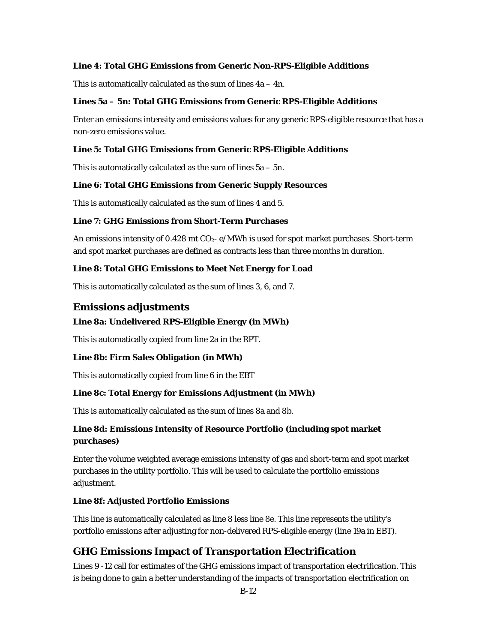### **Line 4: Total GHG Emissions from Generic Non-RPS-Eligible Additions**

This is automatically calculated as the sum of lines  $4a - 4n$ .

#### **Lines 5a – 5n: Total GHG Emissions from Generic RPS-Eligible Additions**

Enter an emissions intensity and emissions values for any generic RPS-eligible resource that has a non-zero emissions value.

#### **Line 5: Total GHG Emissions from Generic RPS-Eligible Additions**

This is automatically calculated as the sum of lines  $5a - 5n$ .

### **Line 6: Total GHG Emissions from Generic Supply Resources**

This is automatically calculated as the sum of lines 4 and 5.

### **Line 7: GHG Emissions from Short-Term Purchases**

An emissions intensity of 0.428 mt  $CO<sub>2</sub>$ - e/MWh is used for spot market purchases. Short-term and spot market purchases are defined as contracts less than three months in duration.

### **Line 8: Total GHG Emissions to Meet Net Energy for Load**

This is automatically calculated as the sum of lines 3, 6, and 7.

# **Emissions adjustments**

# **Line 8a: Undelivered RPS-Eligible Energy (in MWh)**

This is automatically copied from line 2a in the RPT.

#### **Line 8b: Firm Sales Obligation (in MWh)**

This is automatically copied from line 6 in the EBT

# **Line 8c: Total Energy for Emissions Adjustment (in MWh)**

This is automatically calculated as the sum of lines 8a and 8b.

# **Line 8d: Emissions Intensity of Resource Portfolio (including spot market purchases)**

Enter the volume weighted average emissions intensity of gas and short-term and spot market purchases in the utility portfolio. This will be used to calculate the portfolio emissions adjustment.

#### **Line 8f: Adjusted Portfolio Emissions**

This line is automatically calculated as line 8 less line 8e. This line represents the utility's portfolio emissions after adjusting for non-delivered RPS-eligible energy (line 19a in EBT).

# **GHG Emissions Impact of Transportation Electrification**

Lines 9 -12 call for estimates of the GHG emissions impact of transportation electrification. This is being done to gain a better understanding of the impacts of transportation electrification on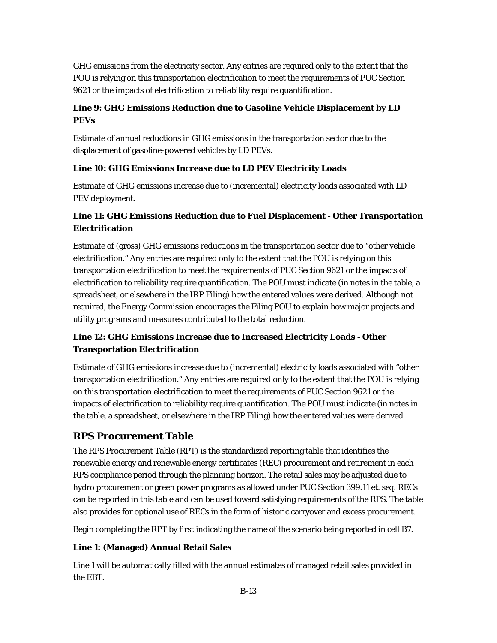GHG emissions from the electricity sector. Any entries are required only to the extent that the POU is relying on this transportation electrification to meet the requirements of PUC Section 9621 or the impacts of electrification to reliability require quantification.

# **Line 9: GHG Emissions Reduction due to Gasoline Vehicle Displacement by LD PEVs**

Estimate of annual reductions in GHG emissions in the transportation sector due to the displacement of gasoline-powered vehicles by LD PEVs.

# **Line 10: GHG Emissions Increase due to LD PEV Electricity Loads**

Estimate of GHG emissions increase due to (incremental) electricity loads associated with LD PEV deployment.

# **Line 11: GHG Emissions Reduction due to Fuel Displacement - Other Transportation Electrification**

Estimate of (gross) GHG emissions reductions in the transportation sector due to "other vehicle electrification." Any entries are required only to the extent that the POU is relying on this transportation electrification to meet the requirements of PUC Section 9621 or the impacts of electrification to reliability require quantification. The POU must indicate (in notes in the table, a spreadsheet, or elsewhere in the IRP Filing) how the entered values were derived. Although not required, the Energy Commission encourages the Filing POU to explain how major projects and utility programs and measures contributed to the total reduction.

# **Line 12: GHG Emissions Increase due to Increased Electricity Loads - Other Transportation Electrification**

Estimate of GHG emissions increase due to (incremental) electricity loads associated with "other transportation electrification." Any entries are required only to the extent that the POU is relying on this transportation electrification to meet the requirements of PUC Section 9621 or the impacts of electrification to reliability require quantification. The POU must indicate (in notes in the table, a spreadsheet, or elsewhere in the IRP Filing) how the entered values were derived.

# **RPS Procurement Table**

The RPS Procurement Table (RPT) is the standardized reporting table that identifies the renewable energy and renewable energy certificates (REC) procurement and retirement in each RPS compliance period through the planning horizon. The retail sales may be adjusted due to hydro procurement or green power programs as allowed under PUC Section 399.11 *et. seq*. RECs can be reported in this table and can be used toward satisfying requirements of the RPS. The table also provides for optional use of RECs in the form of historic carryover and excess procurement.

Begin completing the RPT by first indicating the name of the scenario being reported in cell B7.

# **Line 1: (Managed) Annual Retail Sales**

Line 1 will be automatically filled with the annual estimates of managed retail sales provided in the EBT.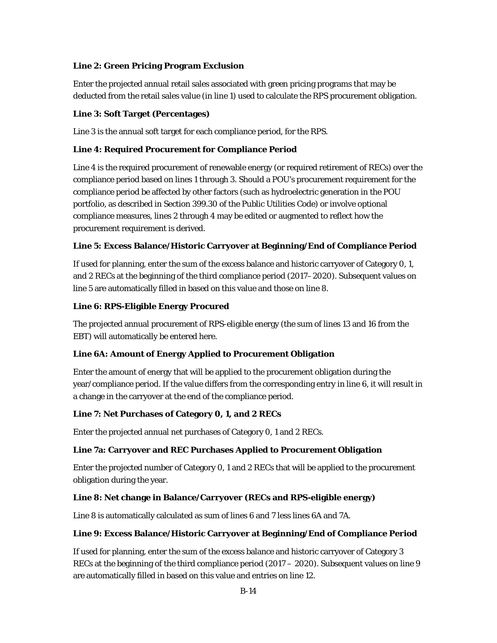# **Line 2: Green Pricing Program Exclusion**

Enter the projected annual retail sales associated with green pricing programs that may be deducted from the retail sales value (in line 1) used to calculate the RPS procurement obligation.

### **Line 3: Soft Target (Percentages)**

Line 3 is the annual soft target for each compliance period, for the RPS.

### **Line 4: Required Procurement for Compliance Period**

Line 4 is the required procurement of renewable energy (or required retirement of RECs) over the compliance period based on lines 1 through 3. Should a POU's procurement requirement for the compliance period be affected by other factors (such as hydroelectric generation in the POU portfolio, as described in Section 399.30 of the Public Utilities Code) or involve optional compliance measures, lines 2 through 4 may be edited or augmented to reflect how the procurement requirement is derived.

### **Line 5: Excess Balance/Historic Carryover at Beginning/End of Compliance Period**

If used for planning, enter the sum of the excess balance and historic carryover of Category 0, 1, and 2 RECs at the beginning of the third compliance period (2017–2020). Subsequent values on line 5 are automatically filled in based on this value and those on line 8.

### **Line 6: RPS-Eligible Energy Procured**

The projected annual procurement of RPS-eligible energy (the sum of lines 13 and 16 from the EBT) will automatically be entered here.

# **Line 6A: Amount of Energy Applied to Procurement Obligation**

Enter the amount of energy that will be applied to the procurement obligation during the year/compliance period. If the value differs from the corresponding entry in line 6, it will result in a change in the carryover at the end of the compliance period.

#### **Line 7: Net Purchases of Category 0, 1, and 2 RECs**

Enter the projected annual net purchases of Category 0, 1 and 2 RECs.

#### **Line 7a: Carryover and REC Purchases Applied to Procurement Obligation**

Enter the projected number of Category 0, 1 and 2 RECs that will be applied to the procurement obligation during the year.

# **Line 8: Net change in Balance/Carryover (RECs and RPS-eligible energy)**

Line 8 is automatically calculated as sum of lines 6 and 7 less lines 6A and 7A.

# **Line 9: Excess Balance/Historic Carryover at Beginning/End of Compliance Period**

If used for planning, enter the sum of the excess balance and historic carryover of Category 3 RECs at the beginning of the third compliance period  $(2017 - 2020)$ . Subsequent values on line 9 are automatically filled in based on this value and entries on line 12.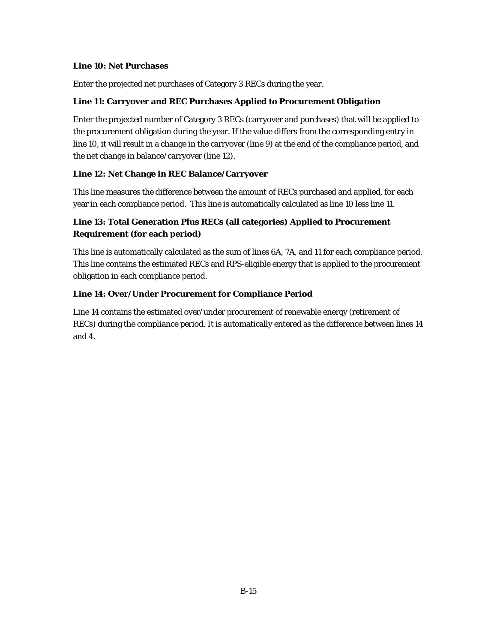### **Line 10: Net Purchases**

Enter the projected net purchases of Category 3 RECs during the year.

### **Line 11: Carryover and REC Purchases Applied to Procurement Obligation**

Enter the projected number of Category 3 RECs (carryover and purchases) that will be applied to the procurement obligation during the year. If the value differs from the corresponding entry in line 10, it will result in a change in the carryover (line 9) at the end of the compliance period, and the net change in balance/carryover (line 12).

# **Line 12: Net Change in REC Balance/Carryover**

This line measures the difference between the amount of RECs purchased and applied, for each year in each compliance period. This line is automatically calculated as line 10 less line 11.

# **Line 13: Total Generation Plus RECs (all categories) Applied to Procurement Requirement (for each period)**

This line is automatically calculated as the sum of lines 6A, 7A, and 11 for each compliance period. This line contains the estimated RECs and RPS-eligible energy that is applied to the procurement obligation in each compliance period.

# **Line 14: Over/Under Procurement for Compliance Period**

Line 14 contains the estimated over/under procurement of renewable energy (retirement of RECs) during the compliance period. It is automatically entered as the difference between lines 14 and 4.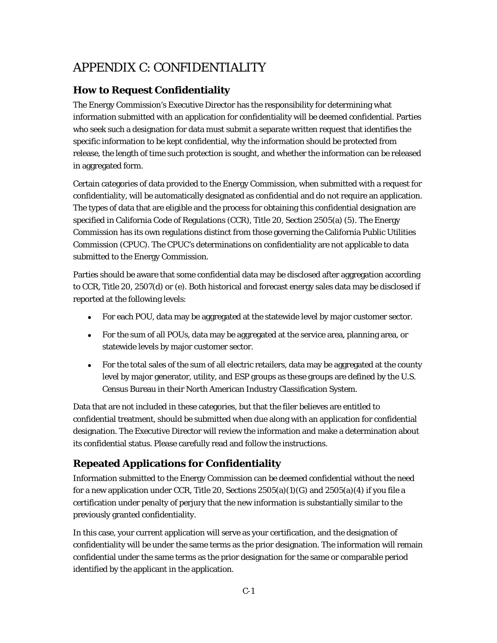# APPENDIX C: CONFIDENTIALITY

# **How to Request Confidentiality**

The Energy Commission's Executive Director has the responsibility for determining what information submitted with an application for confidentiality will be deemed confidential. Parties who seek such a designation for data must submit a separate written request that identifies the specific information to be kept confidential, why the information should be protected from release, the length of time such protection is sought, and whether the information can be released in aggregated form.

Certain categories of data provided to the Energy Commission, when submitted with a request for confidentiality, will be automatically designated as confidential and do not require an application. The types of data that are eligible and the process for obtaining this confidential designation are specified in California Code of Regulations (CCR), Title 20, Section 2505(a) (5). The Energy Commission has its own regulations distinct from those governing the California Public Utilities Commission (CPUC). The CPUC's determinations on confidentiality are not applicable to data submitted to the Energy Commission.

Parties should be aware that some confidential data may be disclosed after aggregation according to CCR, Title 20, 2507(d) or (e). Both historical and forecast energy sales data may be disclosed if reported at the following levels:

- For each POU, data may be aggregated at the statewide level by major customer sector.
- For the sum of all POUs, data may be aggregated at the service area, planning area, or statewide levels by major customer sector.
- For the total sales of the sum of all electric retailers, data may be aggregated at the county level by major generator, utility, and ESP groups as these groups are defined by the U.S. Census Bureau in their North American Industry Classification System.

Data that are not included in these categories, but that the filer believes are entitled to confidential treatment, should be submitted when due along with an application for confidential designation. The Executive Director will review the information and make a determination about its confidential status. Please carefully read and follow the instructions.

# **Repeated Applications for Confidentiality**

Information submitted to the Energy Commission can be deemed confidential without the need for a new application under CCR, Title 20, Sections  $2505(a)(1)(G)$  and  $2505(a)(4)$  if you file a certification under penalty of perjury that the new information is substantially similar to the previously granted confidentiality.

In this case, your current application will serve as your certification, and the designation of confidentiality will be under the same terms as the prior designation. The information will remain confidential under the same terms as the prior designation for the same or comparable period identified by the applicant in the application.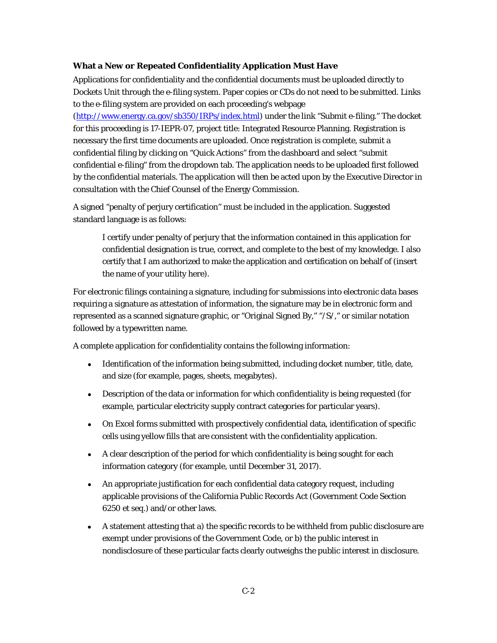#### **What a New or Repeated Confidentiality Application Must Have**

Applications for confidentiality and the confidential documents must be uploaded directly to Dockets Unit through the e-filing system. Paper copies or CDs do not need to be submitted. Links to the e-filing system are provided on each proceeding's webpage

[\(http://www.energy.ca.gov/sb350/IRPs/index.html\)](http://www.energy.ca.gov/sb350/IRPs/index.html) under the link "Submit e-filing." The docket for this proceeding is 17-IEPR-07, project title: Integrated Resource Planning. Registration is necessary the first time documents are uploaded. Once registration is complete, submit a confidential filing by clicking on "Quick Actions" from the dashboard and select "submit confidential e-filing" from the dropdown tab. The application needs to be uploaded first followed by the confidential materials. The application will then be acted upon by the Executive Director in consultation with the Chief Counsel of the Energy Commission.

A signed "penalty of perjury certification" must be included in the application. Suggested standard language is as follows:

I certify under penalty of perjury that the information contained in this application for confidential designation is true, correct, and complete to the best of my knowledge. I also certify that I am authorized to make the application and certification on behalf of (insert the name of your utility here).

For electronic filings containing a signature, including for submissions into electronic data bases requiring a signature as attestation of information, the signature may be in electronic form and represented as a scanned signature graphic, or "Original Signed By," "/S/," or similar notation followed by a typewritten name.

A complete application for confidentiality contains the following information:

- Identification of the information being submitted, including docket number, title, date, and size (for example, pages, sheets, megabytes).
- Description of the data or information for which confidentiality is being requested (for example, particular electricity supply contract categories for particular years).
- On Excel forms submitted with prospectively confidential data, identification of specific cells using yellow fills that are consistent with the confidentiality application.
- A clear description of the period for which confidentiality is being sought for each information category (for example, until December 31, 2017).
- An appropriate justification for each confidential data category request, including applicable provisions of the California Public Records Act (Government Code Section 6250 et seq.) and/or other laws.
- A statement attesting that a) the specific records to be withheld from public disclosure are exempt under provisions of the Government Code, or b) the public interest in nondisclosure of these particular facts clearly outweighs the public interest in disclosure.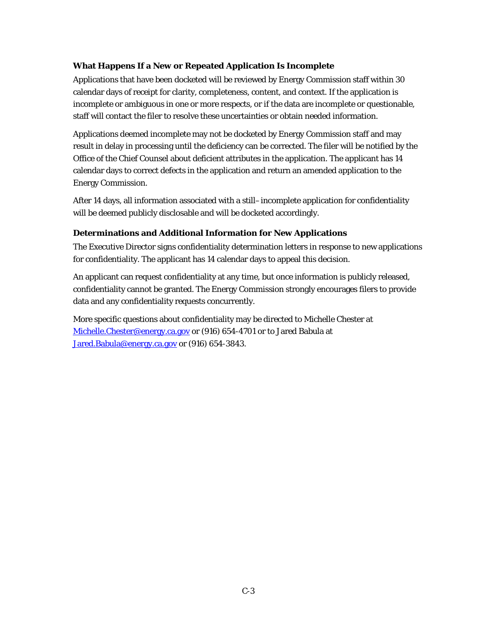# **What Happens If a New or Repeated Application Is Incomplete**

Applications that have been docketed will be reviewed by Energy Commission staff within 30 calendar days of receipt for clarity, completeness, content, and context. If the application is incomplete or ambiguous in one or more respects, or if the data are incomplete or questionable, staff will contact the filer to resolve these uncertainties or obtain needed information.

Applications deemed incomplete may not be docketed by Energy Commission staff and may result in delay in processing until the deficiency can be corrected. The filer will be notified by the Office of the Chief Counsel about deficient attributes in the application. The applicant has 14 calendar days to correct defects in the application and return an amended application to the Energy Commission.

After 14 days, all information associated with a still–incomplete application for confidentiality will be deemed publicly disclosable and will be docketed accordingly.

# **Determinations and Additional Information for New Applications**

The Executive Director signs confidentiality determination letters in response to new applications for confidentiality. The applicant has 14 calendar days to appeal this decision.

An applicant can request confidentiality at any time, but once information is publicly released, confidentiality cannot be granted. The Energy Commission strongly encourages filers to provide data and any confidentiality requests concurrently.

More specific questions about confidentiality may be directed to Michelle Chester at [Michelle.Chester@energy.ca.gov](mailto:Michelle.Chester@energy.ca.gov) or (916) 654-4701 or to Jared Babula at [Jared.Babula@energy.ca.gov](mailto:Jared.Babula@energy.ca.gov) or (916) 654-3843.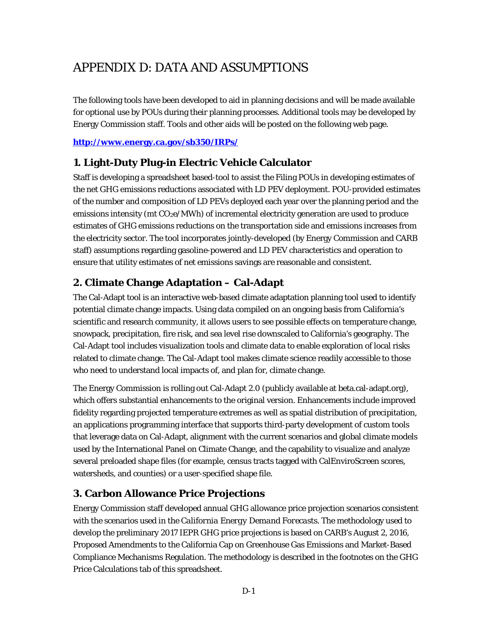# APPENDIX D: DATA AND ASSUMPTIONS

The following tools have been developed to aid in planning decisions and will be made available for optional use by POUs during their planning processes. Additional tools may be developed by Energy Commission staff. Tools and other aids will be posted on the following web page.

**<http://www.energy.ca.gov/sb350/IRPs/>**

# **1. Light-Duty Plug-in Electric Vehicle Calculator**

Staff is developing a spreadsheet based-tool to assist the Filing POUs in developing estimates of the net GHG emissions reductions associated with LD PEV deployment. POU-provided estimates of the number and composition of LD PEVs deployed each year over the planning period and the emissions intensity (mt  $CO<sub>2</sub>e/MWh$ ) of incremental electricity generation are used to produce estimates of GHG emissions reductions on the transportation side and emissions increases from the electricity sector. The tool incorporates jointly-developed (by Energy Commission and CARB staff) assumptions regarding gasoline-powered and LD PEV characteristics and operation to ensure that utility estimates of net emissions savings are reasonable and consistent.

# **2. Climate Change Adaptation – Cal-Adapt**

The Cal-Adapt tool is an interactive web-based climate adaptation planning tool used to identify potential climate change impacts. Using data compiled on an ongoing basis from California's scientific and research community, it allows users to see possible effects on temperature change, snowpack, precipitation, fire risk, and sea level rise downscaled to California's geography. The Cal-Adapt tool includes visualization tools and climate data to enable exploration of local risks related to climate change. The Cal-Adapt tool makes climate science readily accessible to those who need to understand local impacts of, and plan for, climate change.

The Energy Commission is rolling out Cal-Adapt 2.0 (publicly available at beta.cal-adapt.org), which offers substantial enhancements to the original version. Enhancements include improved fidelity regarding projected temperature extremes as well as spatial distribution of precipitation, an applications programming interface that supports third-party development of custom tools that leverage data on Cal-Adapt, alignment with the current scenarios and global climate models used by the International Panel on Climate Change, and the capability to visualize and analyze several preloaded shape files (for example, census tracts tagged with CalEnviroScreen scores, watersheds, and counties) or a user-specified shape file.

# **3. Carbon Allowance Price Projections**

Energy Commission staff developed annual GHG allowance price projection scenarios consistent with the scenarios used in the *California Energy Demand Forecasts*. The methodology used to develop the preliminary *2017 IEPR* GHG price projections is based on CARB's August 2, 2016, Proposed Amendments to the California Cap on Greenhouse Gas Emissions and Market-Based Compliance Mechanisms Regulation. The methodology is described in the footnotes on the GHG Price Calculations tab of this spreadsheet.